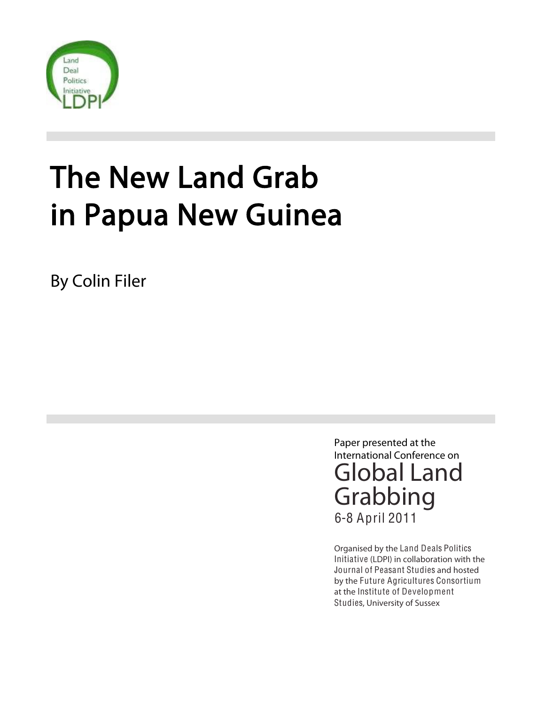

# The New Land Grab in Papua New Guinea

By Colin Filer

Paper presented at the International Conference on Global Land Grabbing 6-8 April 2011

Organised by the Land Deals Politics Initiative (LDPI) in collaboration with the Journal of Peasant Studies and hosted by the Future Agricultures Consortium at the Institute of Development Studies, University of Sussex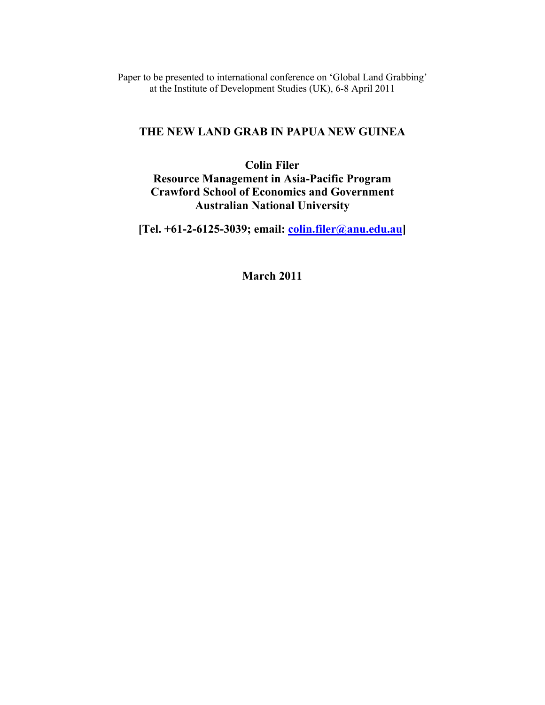Paper to be presented to international conference on 'Global Land Grabbing' at the Institute of Development Studies (UK), 6-8 April 2011

# **THE NEW LAND GRAB IN PAPUA NEW GUINEA**

# **Colin Filer**

**Resource Management in Asia-Pacific Program Crawford School of Economics and Government Australian National University** 

**[Tel. +61-2-6125-3039; email: colin.filer@anu.edu.au]** 

**March 2011**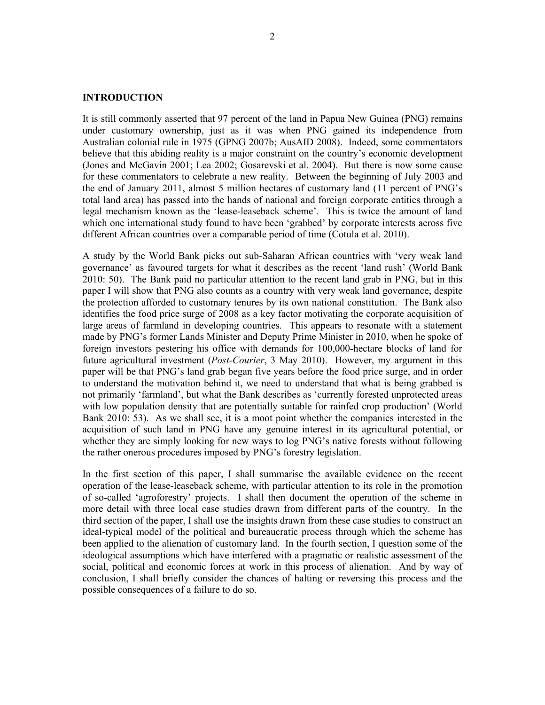# **INTRODUCTION**

It is still commonly asserted that 97 percent of the land in Papua New Guinea (PNG) remains under customary ownership, just as it was when PNG gained its independence from Australian colonial rule in 1975 (GPNG 2007b; AusAID 2008). Indeed, some commentators believe that this abiding reality is a major constraint on the country's economic development (Jones and McGavin 2001; Lea 2002; Gosarevski et al. 2004). But there is now some cause for these commentators to celebrate a new reality. Between the beginning of July 2003 and the end of January 2011, almost 5 million hectares of customary land (11 percent of PNG's total land area) has passed into the hands of national and foreign corporate entities through a legal mechanism known as the 'lease-leaseback scheme'. This is twice the amount of land which one international study found to have been 'grabbed' by corporate interests across five different African countries over a comparable period of time (Cotula et al. 2010).

A study by the World Bank picks out sub-Saharan African countries with 'very weak land governance' as favoured targets for what it describes as the recent 'land rush' (World Bank 2010: 50). The Bank paid no particular attention to the recent land grab in PNG, but in this paper I will show that PNG also counts as a country with very weak land governance, despite the protection afforded to customary tenures by its own national constitution. The Bank also identifies the food price surge of 2008 as a key factor motivating the corporate acquisition of large areas of farmland in developing countries. This appears to resonate with a statement made by PNG's former Lands Minister and Deputy Prime Minister in 2010, when he spoke of foreign investors pestering his office with demands for 100,000-hectare blocks of land for future agricultural investment (*Post-Courier*, 3 May 2010). However, my argument in this paper will be that PNG's land grab began five years before the food price surge, and in order to understand the motivation behind it, we need to understand that what is being grabbed is not primarily 'farmland', but what the Bank describes as 'currently forested unprotected areas with low population density that are potentially suitable for rainfed crop production' (World Bank 2010: 53). As we shall see, it is a moot point whether the companies interested in the acquisition of such land in PNG have any genuine interest in its agricultural potential, or whether they are simply looking for new ways to log PNG's native forests without following the rather onerous procedures imposed by PNG's forestry legislation.

In the first section of this paper, I shall summarise the available evidence on the recent operation of the lease-leaseback scheme, with particular attention to its role in the promotion of so-called 'agroforestry' projects. I shall then document the operation of the scheme in more detail with three local case studies drawn from different parts of the country. In the third section of the paper, I shall use the insights drawn from these case studies to construct an ideal-typical model of the political and bureaucratic process through which the scheme has been applied to the alienation of customary land. In the fourth section, I question some of the ideological assumptions which have interfered with a pragmatic or realistic assessment of the social, political and economic forces at work in this process of alienation. And by way of conclusion, I shall briefly consider the chances of halting or reversing this process and the possible consequences of a failure to do so.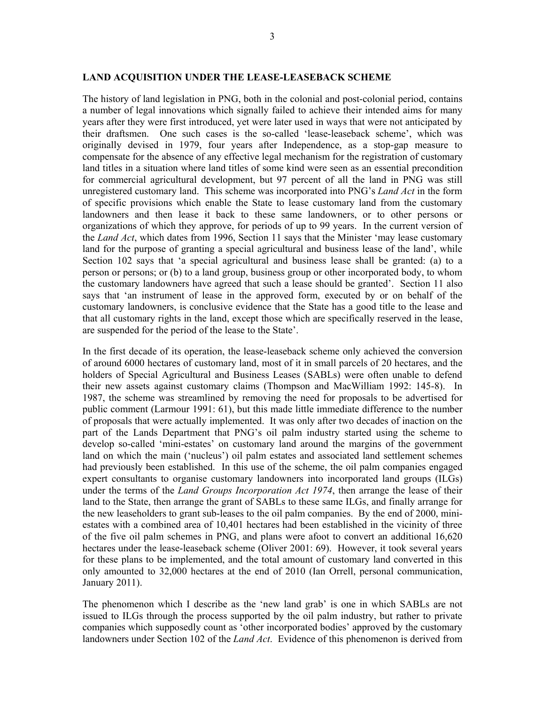#### **LAND ACQUISITION UNDER THE LEASE-LEASEBACK SCHEME**

The history of land legislation in PNG, both in the colonial and post-colonial period, contains a number of legal innovations which signally failed to achieve their intended aims for many years after they were first introduced, yet were later used in ways that were not anticipated by their draftsmen. One such cases is the so-called 'lease-leaseback scheme', which was originally devised in 1979, four years after Independence, as a stop-gap measure to compensate for the absence of any effective legal mechanism for the registration of customary land titles in a situation where land titles of some kind were seen as an essential precondition for commercial agricultural development, but 97 percent of all the land in PNG was still unregistered customary land. This scheme was incorporated into PNG's *Land Act* in the form of specific provisions which enable the State to lease customary land from the customary landowners and then lease it back to these same landowners, or to other persons or organizations of which they approve, for periods of up to 99 years. In the current version of the *Land Act*, which dates from 1996, Section 11 says that the Minister 'may lease customary land for the purpose of granting a special agricultural and business lease of the land', while Section 102 says that 'a special agricultural and business lease shall be granted: (a) to a person or persons; or (b) to a land group, business group or other incorporated body, to whom the customary landowners have agreed that such a lease should be granted'. Section 11 also says that 'an instrument of lease in the approved form, executed by or on behalf of the customary landowners, is conclusive evidence that the State has a good title to the lease and that all customary rights in the land, except those which are specifically reserved in the lease, are suspended for the period of the lease to the State'.

In the first decade of its operation, the lease-leaseback scheme only achieved the conversion of around 6000 hectares of customary land, most of it in small parcels of 20 hectares, and the holders of Special Agricultural and Business Leases (SABLs) were often unable to defend their new assets against customary claims (Thompson and MacWilliam 1992: 145-8). In 1987, the scheme was streamlined by removing the need for proposals to be advertised for public comment (Larmour 1991: 61), but this made little immediate difference to the number of proposals that were actually implemented. It was only after two decades of inaction on the part of the Lands Department that PNG's oil palm industry started using the scheme to develop so-called 'mini-estates' on customary land around the margins of the government land on which the main ('nucleus') oil palm estates and associated land settlement schemes had previously been established. In this use of the scheme, the oil palm companies engaged expert consultants to organise customary landowners into incorporated land groups (ILGs) under the terms of the *Land Groups Incorporation Act 1974*, then arrange the lease of their land to the State, then arrange the grant of SABLs to these same ILGs, and finally arrange for the new leaseholders to grant sub-leases to the oil palm companies. By the end of 2000, miniestates with a combined area of 10,401 hectares had been established in the vicinity of three of the five oil palm schemes in PNG, and plans were afoot to convert an additional 16,620 hectares under the lease-leaseback scheme (Oliver 2001: 69). However, it took several years for these plans to be implemented, and the total amount of customary land converted in this only amounted to 32,000 hectares at the end of 2010 (Ian Orrell, personal communication, January 2011).

The phenomenon which I describe as the 'new land grab' is one in which SABLs are not issued to ILGs through the process supported by the oil palm industry, but rather to private companies which supposedly count as 'other incorporated bodies' approved by the customary landowners under Section 102 of the *Land Act*. Evidence of this phenomenon is derived from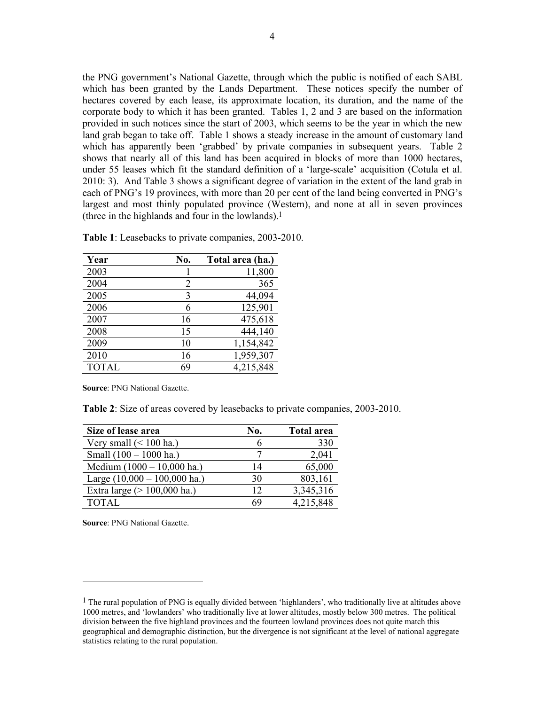the PNG government's National Gazette, through which the public is notified of each SABL which has been granted by the Lands Department. These notices specify the number of hectares covered by each lease, its approximate location, its duration, and the name of the corporate body to which it has been granted. Tables 1, 2 and 3 are based on the information provided in such notices since the start of 2003, which seems to be the year in which the new land grab began to take off. Table 1 shows a steady increase in the amount of customary land which has apparently been 'grabbed' by private companies in subsequent years. Table 2 shows that nearly all of this land has been acquired in blocks of more than 1000 hectares, under 55 leases which fit the standard definition of a 'large-scale' acquisition (Cotula et al. 2010: 3). And Table 3 shows a significant degree of variation in the extent of the land grab in each of PNG's 19 provinces, with more than 20 per cent of the land being converted in PNG's largest and most thinly populated province (Western), and none at all in seven provinces (three in the highlands and four in the lowlands).1

| Year         | No. | Total area (ha.) |
|--------------|-----|------------------|
| 2003         |     | 11,800           |
| 2004         | 2   | 365              |
| 2005         | 3   | 44,094           |
| 2006         | 6   | 125,901          |
| 2007         | 16  | 475,618          |
| 2008         | 15  | 444,140          |
| 2009         | 10  | 1,154,842        |
| 2010         | 16  | 1,959,307        |
| <b>TOTAL</b> | 69  | 4,215,848        |

**Table 1**: Leasebacks to private companies, 2003-2010.

**Source**: PNG National Gazette.

**Table 2**: Size of areas covered by leasebacks to private companies, 2003-2010.

| Size of lease area             | No. | <b>Total area</b> |
|--------------------------------|-----|-------------------|
| Very small $(< 100$ ha.)       | n   | 330               |
| Small $(100 - 1000$ ha.)       |     | 2,041             |
| Medium (1000 - 10,000 ha.)     | 14  | 65,000            |
| Large $(10,000 - 100,000$ ha.) | 30  | 803,161           |
| Extra large $(> 100,000$ ha.)  | 12  | 3,345,316         |
| <b>TOTAL</b>                   | 69  | 4,215,848         |

**Source**: PNG National Gazette.

<sup>&</sup>lt;sup>1</sup> The rural population of PNG is equally divided between 'highlanders', who traditionally live at altitudes above 1000 metres, and 'lowlanders' who traditionally live at lower altitudes, mostly below 300 metres. The political division between the five highland provinces and the fourteen lowland provinces does not quite match this geographical and demographic distinction, but the divergence is not significant at the level of national aggregate statistics relating to the rural population.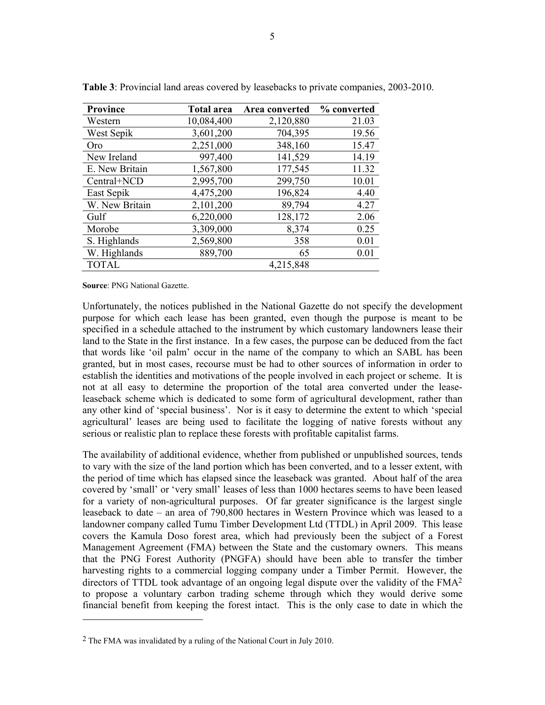| <b>Province</b> | <b>Total area</b> | Area converted | % converted |
|-----------------|-------------------|----------------|-------------|
| Western         | 10,084,400        | 2,120,880      | 21.03       |
| West Sepik      | 3,601,200         | 704,395        | 19.56       |
| Oro             | 2,251,000         | 348,160        | 15.47       |
| New Ireland     | 997,400           | 141,529        | 14.19       |
| E. New Britain  | 1,567,800         | 177,545        | 11.32       |
| Central+NCD     | 2,995,700         | 299,750        | 10.01       |
| East Sepik      | 4,475,200         | 196,824        | 4.40        |
| W. New Britain  | 2,101,200         | 89,794         | 4.27        |
| Gulf            | 6,220,000         | 128,172        | 2.06        |
| Morobe          | 3,309,000         | 8,374          | 0.25        |
| S. Highlands    | 2,569,800         | 358            | 0.01        |
| W. Highlands    | 889,700           | 65             | 0.01        |
| <b>TOTAL</b>    |                   | 4,215,848      |             |

**Table 3**: Provincial land areas covered by leasebacks to private companies, 2003-2010.

**Source**: PNG National Gazette.

 $\overline{a}$ 

Unfortunately, the notices published in the National Gazette do not specify the development purpose for which each lease has been granted, even though the purpose is meant to be specified in a schedule attached to the instrument by which customary landowners lease their land to the State in the first instance. In a few cases, the purpose can be deduced from the fact that words like 'oil palm' occur in the name of the company to which an SABL has been granted, but in most cases, recourse must be had to other sources of information in order to establish the identities and motivations of the people involved in each project or scheme. It is not at all easy to determine the proportion of the total area converted under the leaseleaseback scheme which is dedicated to some form of agricultural development, rather than any other kind of 'special business'. Nor is it easy to determine the extent to which 'special agricultural' leases are being used to facilitate the logging of native forests without any serious or realistic plan to replace these forests with profitable capitalist farms.

The availability of additional evidence, whether from published or unpublished sources, tends to vary with the size of the land portion which has been converted, and to a lesser extent, with the period of time which has elapsed since the leaseback was granted. About half of the area covered by 'small' or 'very small' leases of less than 1000 hectares seems to have been leased for a variety of non-agricultural purposes. Of far greater significance is the largest single leaseback to date – an area of 790,800 hectares in Western Province which was leased to a landowner company called Tumu Timber Development Ltd (TTDL) in April 2009. This lease covers the Kamula Doso forest area, which had previously been the subject of a Forest Management Agreement (FMA) between the State and the customary owners. This means that the PNG Forest Authority (PNGFA) should have been able to transfer the timber harvesting rights to a commercial logging company under a Timber Permit. However, the directors of TTDL took advantage of an ongoing legal dispute over the validity of the FMA<sup>2</sup> to propose a voluntary carbon trading scheme through which they would derive some financial benefit from keeping the forest intact. This is the only case to date in which the

<sup>2</sup> The FMA was invalidated by a ruling of the National Court in July 2010.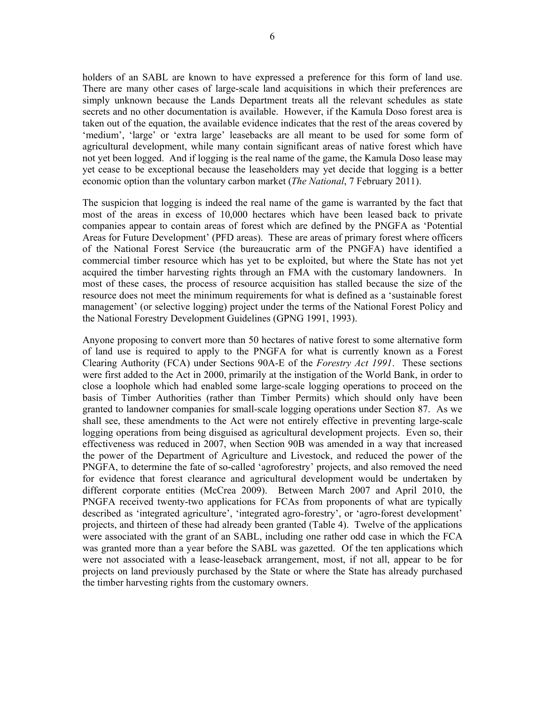holders of an SABL are known to have expressed a preference for this form of land use. There are many other cases of large-scale land acquisitions in which their preferences are simply unknown because the Lands Department treats all the relevant schedules as state secrets and no other documentation is available. However, if the Kamula Doso forest area is taken out of the equation, the available evidence indicates that the rest of the areas covered by 'medium', 'large' or 'extra large' leasebacks are all meant to be used for some form of agricultural development, while many contain significant areas of native forest which have not yet been logged. And if logging is the real name of the game, the Kamula Doso lease may yet cease to be exceptional because the leaseholders may yet decide that logging is a better economic option than the voluntary carbon market (*The National*, 7 February 2011).

The suspicion that logging is indeed the real name of the game is warranted by the fact that most of the areas in excess of 10,000 hectares which have been leased back to private companies appear to contain areas of forest which are defined by the PNGFA as 'Potential Areas for Future Development' (PFD areas). These are areas of primary forest where officers of the National Forest Service (the bureaucratic arm of the PNGFA) have identified a commercial timber resource which has yet to be exploited, but where the State has not yet acquired the timber harvesting rights through an FMA with the customary landowners. In most of these cases, the process of resource acquisition has stalled because the size of the resource does not meet the minimum requirements for what is defined as a 'sustainable forest management' (or selective logging) project under the terms of the National Forest Policy and the National Forestry Development Guidelines (GPNG 1991, 1993).

Anyone proposing to convert more than 50 hectares of native forest to some alternative form of land use is required to apply to the PNGFA for what is currently known as a Forest Clearing Authority (FCA) under Sections 90A-E of the *Forestry Act 1991*. These sections were first added to the Act in 2000, primarily at the instigation of the World Bank, in order to close a loophole which had enabled some large-scale logging operations to proceed on the basis of Timber Authorities (rather than Timber Permits) which should only have been granted to landowner companies for small-scale logging operations under Section 87. As we shall see, these amendments to the Act were not entirely effective in preventing large-scale logging operations from being disguised as agricultural development projects. Even so, their effectiveness was reduced in 2007, when Section 90B was amended in a way that increased the power of the Department of Agriculture and Livestock, and reduced the power of the PNGFA, to determine the fate of so-called 'agroforestry' projects, and also removed the need for evidence that forest clearance and agricultural development would be undertaken by different corporate entities (McCrea 2009). Between March 2007 and April 2010, the PNGFA received twenty-two applications for FCAs from proponents of what are typically described as 'integrated agriculture', 'integrated agro-forestry', or 'agro-forest development' projects, and thirteen of these had already been granted (Table 4). Twelve of the applications were associated with the grant of an SABL, including one rather odd case in which the FCA was granted more than a year before the SABL was gazetted. Of the ten applications which were not associated with a lease-leaseback arrangement, most, if not all, appear to be for projects on land previously purchased by the State or where the State has already purchased the timber harvesting rights from the customary owners.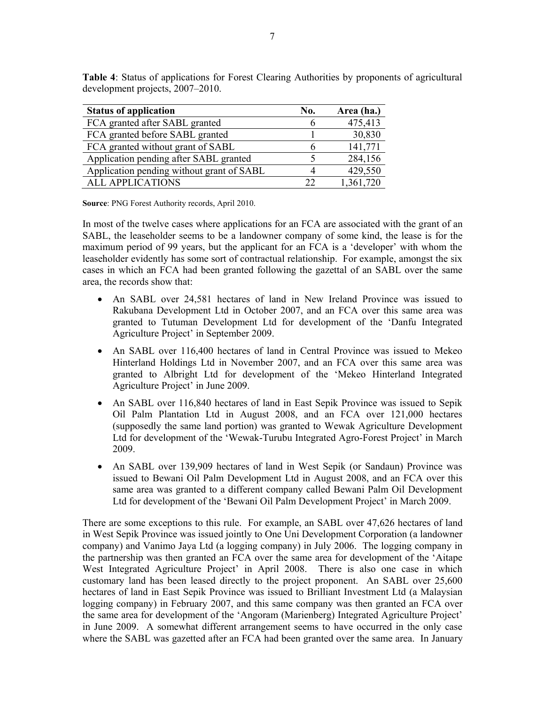| <b>Status of application</b>              | No. | Area (ha.) |
|-------------------------------------------|-----|------------|
| FCA granted after SABL granted            |     | 475,413    |
| FCA granted before SABL granted           |     | 30,830     |
| FCA granted without grant of SABL         |     | 141,771    |
| Application pending after SABL granted    |     | 284,156    |
| Application pending without grant of SABL |     | 429,550    |
| <b>ALL APPLICATIONS</b>                   | フフ  | 1,361,720  |

**Table 4**: Status of applications for Forest Clearing Authorities by proponents of agricultural development projects, 2007–2010.

**Source**: PNG Forest Authority records, April 2010.

In most of the twelve cases where applications for an FCA are associated with the grant of an SABL, the leaseholder seems to be a landowner company of some kind, the lease is for the maximum period of 99 years, but the applicant for an FCA is a 'developer' with whom the leaseholder evidently has some sort of contractual relationship. For example, amongst the six cases in which an FCA had been granted following the gazettal of an SABL over the same area, the records show that:

- An SABL over 24,581 hectares of land in New Ireland Province was issued to Rakubana Development Ltd in October 2007, and an FCA over this same area was granted to Tutuman Development Ltd for development of the 'Danfu Integrated Agriculture Project' in September 2009.
- An SABL over 116,400 hectares of land in Central Province was issued to Mekeo Hinterland Holdings Ltd in November 2007, and an FCA over this same area was granted to Albright Ltd for development of the 'Mekeo Hinterland Integrated Agriculture Project' in June 2009.
- An SABL over 116,840 hectares of land in East Sepik Province was issued to Sepik Oil Palm Plantation Ltd in August 2008, and an FCA over 121,000 hectares (supposedly the same land portion) was granted to Wewak Agriculture Development Ltd for development of the 'Wewak-Turubu Integrated Agro-Forest Project' in March 2009.
- An SABL over 139,909 hectares of land in West Sepik (or Sandaun) Province was issued to Bewani Oil Palm Development Ltd in August 2008, and an FCA over this same area was granted to a different company called Bewani Palm Oil Development Ltd for development of the 'Bewani Oil Palm Development Project' in March 2009.

There are some exceptions to this rule. For example, an SABL over 47,626 hectares of land in West Sepik Province was issued jointly to One Uni Development Corporation (a landowner company) and Vanimo Jaya Ltd (a logging company) in July 2006. The logging company in the partnership was then granted an FCA over the same area for development of the 'Aitape West Integrated Agriculture Project' in April 2008. There is also one case in which customary land has been leased directly to the project proponent. An SABL over 25,600 hectares of land in East Sepik Province was issued to Brilliant Investment Ltd (a Malaysian logging company) in February 2007, and this same company was then granted an FCA over the same area for development of the 'Angoram (Marienberg) Integrated Agriculture Project' in June 2009. A somewhat different arrangement seems to have occurred in the only case where the SABL was gazetted after an FCA had been granted over the same area. In January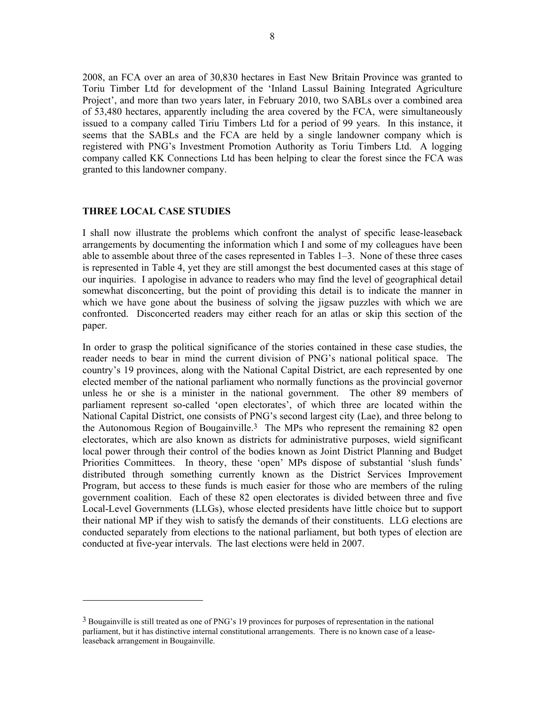2008, an FCA over an area of 30,830 hectares in East New Britain Province was granted to Toriu Timber Ltd for development of the 'Inland Lassul Baining Integrated Agriculture Project', and more than two years later, in February 2010, two SABLs over a combined area of 53,480 hectares, apparently including the area covered by the FCA, were simultaneously issued to a company called Tiriu Timbers Ltd for a period of 99 years. In this instance, it seems that the SABLs and the FCA are held by a single landowner company which is registered with PNG's Investment Promotion Authority as Toriu Timbers Ltd. A logging company called KK Connections Ltd has been helping to clear the forest since the FCA was granted to this landowner company.

#### **THREE LOCAL CASE STUDIES**

l

I shall now illustrate the problems which confront the analyst of specific lease-leaseback arrangements by documenting the information which I and some of my colleagues have been able to assemble about three of the cases represented in Tables 1–3. None of these three cases is represented in Table 4, yet they are still amongst the best documented cases at this stage of our inquiries. I apologise in advance to readers who may find the level of geographical detail somewhat disconcerting, but the point of providing this detail is to indicate the manner in which we have gone about the business of solving the jigsaw puzzles with which we are confronted. Disconcerted readers may either reach for an atlas or skip this section of the paper.

In order to grasp the political significance of the stories contained in these case studies, the reader needs to bear in mind the current division of PNG's national political space. The country's 19 provinces, along with the National Capital District, are each represented by one elected member of the national parliament who normally functions as the provincial governor unless he or she is a minister in the national government. The other 89 members of parliament represent so-called 'open electorates', of which three are located within the National Capital District, one consists of PNG's second largest city (Lae), and three belong to the Autonomous Region of Bougainville.3 The MPs who represent the remaining 82 open electorates, which are also known as districts for administrative purposes, wield significant local power through their control of the bodies known as Joint District Planning and Budget Priorities Committees. In theory, these 'open' MPs dispose of substantial 'slush funds' distributed through something currently known as the District Services Improvement Program, but access to these funds is much easier for those who are members of the ruling government coalition. Each of these 82 open electorates is divided between three and five Local-Level Governments (LLGs), whose elected presidents have little choice but to support their national MP if they wish to satisfy the demands of their constituents. LLG elections are conducted separately from elections to the national parliament, but both types of election are conducted at five-year intervals. The last elections were held in 2007.

<sup>3</sup> Bougainville is still treated as one of PNG's 19 provinces for purposes of representation in the national parliament, but it has distinctive internal constitutional arrangements. There is no known case of a leaseleaseback arrangement in Bougainville.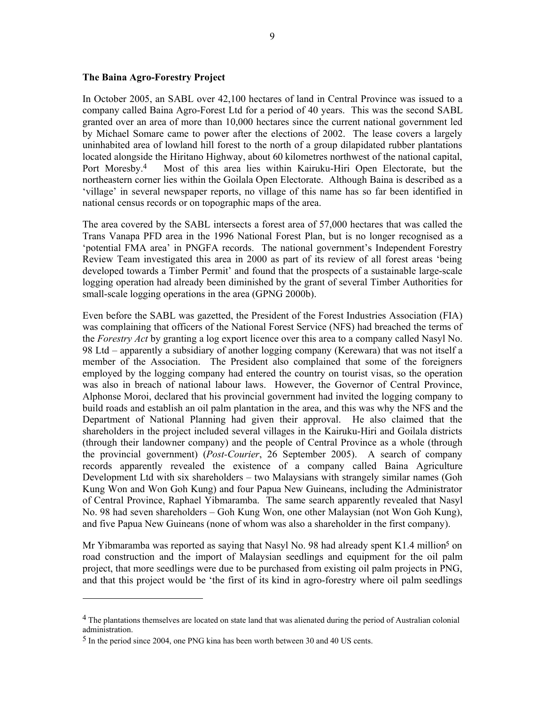#### **The Baina Agro-Forestry Project**

In October 2005, an SABL over 42,100 hectares of land in Central Province was issued to a company called Baina Agro-Forest Ltd for a period of 40 years. This was the second SABL granted over an area of more than 10,000 hectares since the current national government led by Michael Somare came to power after the elections of 2002. The lease covers a largely uninhabited area of lowland hill forest to the north of a group dilapidated rubber plantations located alongside the Hiritano Highway, about 60 kilometres northwest of the national capital, Port Moresby.4 Most of this area lies within Kairuku-Hiri Open Electorate, but the northeastern corner lies within the Goilala Open Electorate. Although Baina is described as a 'village' in several newspaper reports, no village of this name has so far been identified in national census records or on topographic maps of the area.

The area covered by the SABL intersects a forest area of 57,000 hectares that was called the Trans Vanapa PFD area in the 1996 National Forest Plan, but is no longer recognised as a 'potential FMA area' in PNGFA records. The national government's Independent Forestry Review Team investigated this area in 2000 as part of its review of all forest areas 'being developed towards a Timber Permit' and found that the prospects of a sustainable large-scale logging operation had already been diminished by the grant of several Timber Authorities for small-scale logging operations in the area (GPNG 2000b).

Even before the SABL was gazetted, the President of the Forest Industries Association (FIA) was complaining that officers of the National Forest Service (NFS) had breached the terms of the *Forestry Act* by granting a log export licence over this area to a company called Nasyl No. 98 Ltd – apparently a subsidiary of another logging company (Kerewara) that was not itself a member of the Association. The President also complained that some of the foreigners employed by the logging company had entered the country on tourist visas, so the operation was also in breach of national labour laws. However, the Governor of Central Province, Alphonse Moroi, declared that his provincial government had invited the logging company to build roads and establish an oil palm plantation in the area, and this was why the NFS and the Department of National Planning had given their approval. He also claimed that the shareholders in the project included several villages in the Kairuku-Hiri and Goilala districts (through their landowner company) and the people of Central Province as a whole (through the provincial government) (*Post-Courier*, 26 September 2005). A search of company records apparently revealed the existence of a company called Baina Agriculture Development Ltd with six shareholders – two Malaysians with strangely similar names (Goh Kung Won and Won Goh Kung) and four Papua New Guineans, including the Administrator of Central Province, Raphael Yibmaramba. The same search apparently revealed that Nasyl No. 98 had seven shareholders – Goh Kung Won, one other Malaysian (not Won Goh Kung), and five Papua New Guineans (none of whom was also a shareholder in the first company).

Mr Yibmaramba was reported as saying that Nasyl No. 98 had already spent K1.4 million<sup>5</sup> on road construction and the import of Malaysian seedlings and equipment for the oil palm project, that more seedlings were due to be purchased from existing oil palm projects in PNG, and that this project would be 'the first of its kind in agro-forestry where oil palm seedlings

 $\overline{a}$ 

<sup>4</sup> The plantations themselves are located on state land that was alienated during the period of Australian colonial administration.

<sup>5</sup> In the period since 2004, one PNG kina has been worth between 30 and 40 US cents.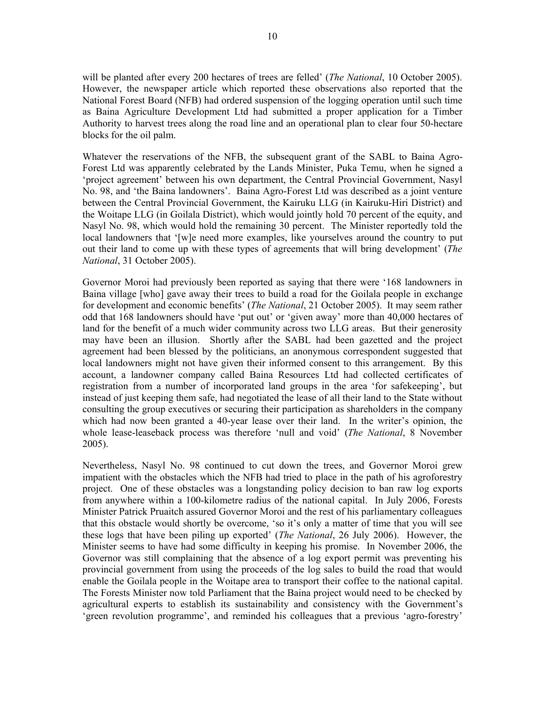will be planted after every 200 hectares of trees are felled' (*The National*, 10 October 2005). However, the newspaper article which reported these observations also reported that the National Forest Board (NFB) had ordered suspension of the logging operation until such time as Baina Agriculture Development Ltd had submitted a proper application for a Timber Authority to harvest trees along the road line and an operational plan to clear four 50-hectare blocks for the oil palm.

Whatever the reservations of the NFB, the subsequent grant of the SABL to Baina Agro-Forest Ltd was apparently celebrated by the Lands Minister, Puka Temu, when he signed a 'project agreement' between his own department, the Central Provincial Government, Nasyl No. 98, and 'the Baina landowners'. Baina Agro-Forest Ltd was described as a joint venture between the Central Provincial Government, the Kairuku LLG (in Kairuku-Hiri District) and the Woitape LLG (in Goilala District), which would jointly hold 70 percent of the equity, and Nasyl No. 98, which would hold the remaining 30 percent. The Minister reportedly told the local landowners that '[w]e need more examples, like yourselves around the country to put out their land to come up with these types of agreements that will bring development' (*The National*, 31 October 2005).

Governor Moroi had previously been reported as saying that there were '168 landowners in Baina village [who] gave away their trees to build a road for the Goilala people in exchange for development and economic benefits' (*The National*, 21 October 2005). It may seem rather odd that 168 landowners should have 'put out' or 'given away' more than 40,000 hectares of land for the benefit of a much wider community across two LLG areas. But their generosity may have been an illusion. Shortly after the SABL had been gazetted and the project agreement had been blessed by the politicians, an anonymous correspondent suggested that local landowners might not have given their informed consent to this arrangement. By this account, a landowner company called Baina Resources Ltd had collected certificates of registration from a number of incorporated land groups in the area 'for safekeeping', but instead of just keeping them safe, had negotiated the lease of all their land to the State without consulting the group executives or securing their participation as shareholders in the company which had now been granted a 40-year lease over their land. In the writer's opinion, the whole lease-leaseback process was therefore 'null and void' (*The National*, 8 November 2005).

Nevertheless, Nasyl No. 98 continued to cut down the trees, and Governor Moroi grew impatient with the obstacles which the NFB had tried to place in the path of his agroforestry project. One of these obstacles was a longstanding policy decision to ban raw log exports from anywhere within a 100-kilometre radius of the national capital. In July 2006, Forests Minister Patrick Pruaitch assured Governor Moroi and the rest of his parliamentary colleagues that this obstacle would shortly be overcome, 'so it's only a matter of time that you will see these logs that have been piling up exported' (*The National*, 26 July 2006). However, the Minister seems to have had some difficulty in keeping his promise. In November 2006, the Governor was still complaining that the absence of a log export permit was preventing his provincial government from using the proceeds of the log sales to build the road that would enable the Goilala people in the Woitape area to transport their coffee to the national capital. The Forests Minister now told Parliament that the Baina project would need to be checked by agricultural experts to establish its sustainability and consistency with the Government's 'green revolution programme', and reminded his colleagues that a previous 'agro-forestry'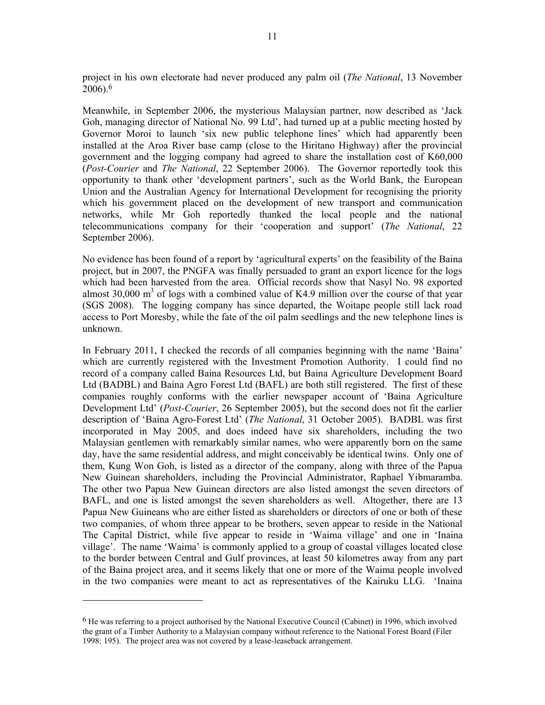project in his own electorate had never produced any palm oil (*The National*, 13 November 2006).6

Meanwhile, in September 2006, the mysterious Malaysian partner, now described as 'Jack Goh, managing director of National No. 99 Ltd', had turned up at a public meeting hosted by Governor Moroi to launch 'six new public telephone lines' which had apparently been installed at the Aroa River base camp (close to the Hiritano Highway) after the provincial government and the logging company had agreed to share the installation cost of K60,000 (*Post-Courier* and *The National*, 22 September 2006). The Governor reportedly took this opportunity to thank other 'development partners', such as the World Bank, the European Union and the Australian Agency for International Development for recognising the priority which his government placed on the development of new transport and communication networks, while Mr Goh reportedly thanked the local people and the national telecommunications company for their 'cooperation and support' (*The National*, 22 September 2006).

No evidence has been found of a report by 'agricultural experts' on the feasibility of the Baina project, but in 2007, the PNGFA was finally persuaded to grant an export licence for the logs which had been harvested from the area. Official records show that Nasyl No. 98 exported almost  $30,000 \text{ m}^3$  of logs with a combined value of K4.9 million over the course of that year (SGS 2008). The logging company has since departed, the Woitape people still lack road access to Port Moresby, while the fate of the oil palm seedlings and the new telephone lines is unknown.

In February 2011, I checked the records of all companies beginning with the name 'Baina' which are currently registered with the Investment Promotion Authority. I could find no record of a company called Baina Resources Ltd, but Baina Agriculture Development Board Ltd (BADBL) and Baina Agro Forest Ltd (BAFL) are both still registered. The first of these companies roughly conforms with the earlier newspaper account of 'Baina Agriculture Development Ltd' (*Post-Courier*, 26 September 2005), but the second does not fit the earlier description of 'Baina Agro-Forest Ltd' (*The National*, 31 October 2005). BADBL was first incorporated in May 2005, and does indeed have six shareholders, including the two Malaysian gentlemen with remarkably similar names, who were apparently born on the same day, have the same residential address, and might conceivably be identical twins. Only one of them, Kung Won Goh, is listed as a director of the company, along with three of the Papua New Guinean shareholders, including the Provincial Administrator, Raphael Yibmaramba. The other two Papua New Guinean directors are also listed amongst the seven directors of BAFL, and one is listed amongst the seven shareholders as well. Altogether, there are 13 Papua New Guineans who are either listed as shareholders or directors of one or both of these two companies, of whom three appear to be brothers, seven appear to reside in the National The Capital District, while five appear to reside in 'Waima village' and one in 'Inaina village'. The name 'Waima' is commonly applied to a group of coastal villages located close to the border between Central and Gulf provinces, at least 50 kilometres away from any part of the Baina project area, and it seems likely that one or more of the Waima people involved in the two companies were meant to act as representatives of the Kairuku LLG. 'Inaina

<sup>6</sup> He was referring to a project authorised by the National Executive Council (Cabinet) in 1996, which involved the grant of a Timber Authority to a Malaysian company without reference to the National Forest Board (Filer 1998: 195). The project area was not covered by a lease-leaseback arrangement.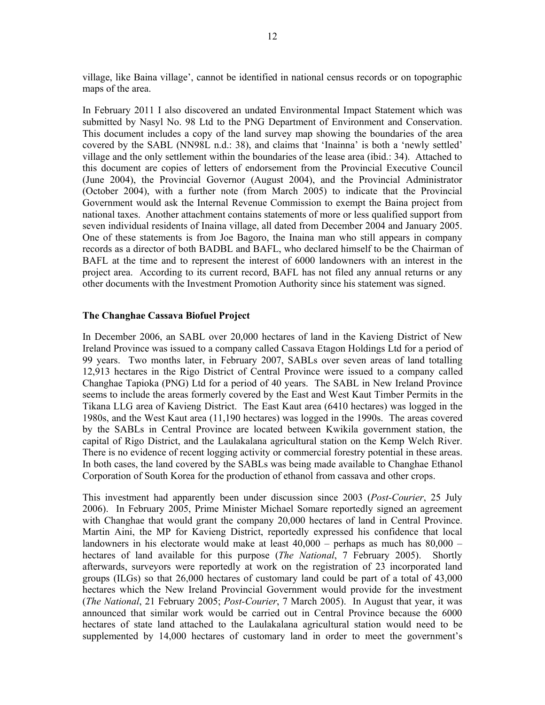village, like Baina village', cannot be identified in national census records or on topographic maps of the area.

In February 2011 I also discovered an undated Environmental Impact Statement which was submitted by Nasyl No. 98 Ltd to the PNG Department of Environment and Conservation. This document includes a copy of the land survey map showing the boundaries of the area covered by the SABL (NN98L n.d.: 38), and claims that 'Inainna' is both a 'newly settled' village and the only settlement within the boundaries of the lease area (ibid.: 34). Attached to this document are copies of letters of endorsement from the Provincial Executive Council (June 2004), the Provincial Governor (August 2004), and the Provincial Administrator (October 2004), with a further note (from March 2005) to indicate that the Provincial Government would ask the Internal Revenue Commission to exempt the Baina project from national taxes. Another attachment contains statements of more or less qualified support from seven individual residents of Inaina village, all dated from December 2004 and January 2005. One of these statements is from Joe Bagoro, the Inaina man who still appears in company records as a director of both BADBL and BAFL, who declared himself to be the Chairman of BAFL at the time and to represent the interest of 6000 landowners with an interest in the project area. According to its current record, BAFL has not filed any annual returns or any other documents with the Investment Promotion Authority since his statement was signed.

#### **The Changhae Cassava Biofuel Project**

In December 2006, an SABL over 20,000 hectares of land in the Kavieng District of New Ireland Province was issued to a company called Cassava Etagon Holdings Ltd for a period of 99 years. Two months later, in February 2007, SABLs over seven areas of land totalling 12,913 hectares in the Rigo District of Central Province were issued to a company called Changhae Tapioka (PNG) Ltd for a period of 40 years. The SABL in New Ireland Province seems to include the areas formerly covered by the East and West Kaut Timber Permits in the Tikana LLG area of Kavieng District. The East Kaut area (6410 hectares) was logged in the 1980s, and the West Kaut area (11,190 hectares) was logged in the 1990s. The areas covered by the SABLs in Central Province are located between Kwikila government station, the capital of Rigo District, and the Laulakalana agricultural station on the Kemp Welch River. There is no evidence of recent logging activity or commercial forestry potential in these areas. In both cases, the land covered by the SABLs was being made available to Changhae Ethanol Corporation of South Korea for the production of ethanol from cassava and other crops.

This investment had apparently been under discussion since 2003 (*Post-Courier*, 25 July 2006). In February 2005, Prime Minister Michael Somare reportedly signed an agreement with Changhae that would grant the company 20,000 hectares of land in Central Province. Martin Aini, the MP for Kavieng District, reportedly expressed his confidence that local landowners in his electorate would make at least 40,000 – perhaps as much has 80,000 – hectares of land available for this purpose (*The National*, 7 February 2005). Shortly afterwards, surveyors were reportedly at work on the registration of 23 incorporated land groups (ILGs) so that 26,000 hectares of customary land could be part of a total of 43,000 hectares which the New Ireland Provincial Government would provide for the investment (*The National*, 21 February 2005; *Post-Courier*, 7 March 2005). In August that year, it was announced that similar work would be carried out in Central Province because the 6000 hectares of state land attached to the Laulakalana agricultural station would need to be supplemented by 14,000 hectares of customary land in order to meet the government's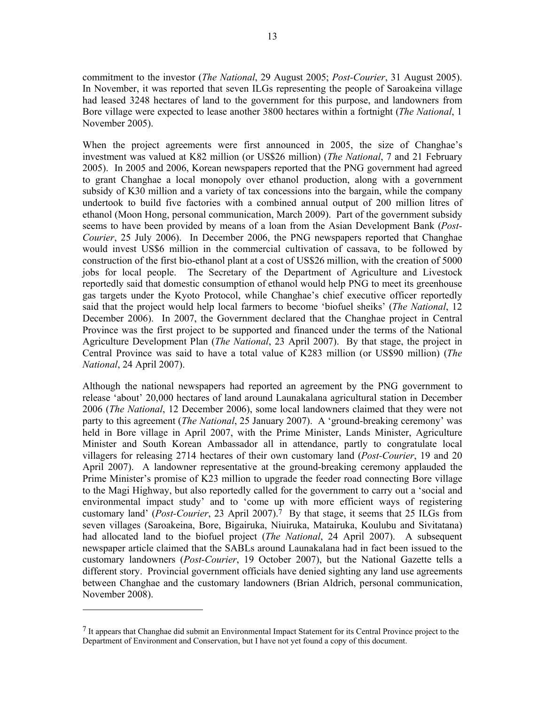commitment to the investor (*The National*, 29 August 2005; *Post-Courier*, 31 August 2005). In November, it was reported that seven ILGs representing the people of Saroakeina village had leased 3248 hectares of land to the government for this purpose, and landowners from Bore village were expected to lease another 3800 hectares within a fortnight (*The National*, 1 November 2005).

When the project agreements were first announced in 2005, the size of Changhae's investment was valued at K82 million (or US\$26 million) (*The National*, 7 and 21 February 2005). In 2005 and 2006, Korean newspapers reported that the PNG government had agreed to grant Changhae a local monopoly over ethanol production, along with a government subsidy of K30 million and a variety of tax concessions into the bargain, while the company undertook to build five factories with a combined annual output of 200 million litres of ethanol (Moon Hong, personal communication, March 2009). Part of the government subsidy seems to have been provided by means of a loan from the Asian Development Bank (*Post-Courier*, 25 July 2006). In December 2006, the PNG newspapers reported that Changhae would invest US\$6 million in the commercial cultivation of cassava, to be followed by construction of the first bio-ethanol plant at a cost of US\$26 million, with the creation of 5000 jobs for local people. The Secretary of the Department of Agriculture and Livestock reportedly said that domestic consumption of ethanol would help PNG to meet its greenhouse gas targets under the Kyoto Protocol, while Changhae's chief executive officer reportedly said that the project would help local farmers to become 'biofuel sheiks' (*The National*, 12 December 2006). In 2007, the Government declared that the Changhae project in Central Province was the first project to be supported and financed under the terms of the National Agriculture Development Plan (*The National*, 23 April 2007). By that stage, the project in Central Province was said to have a total value of K283 million (or US\$90 million) (*The National*, 24 April 2007).

Although the national newspapers had reported an agreement by the PNG government to release 'about' 20,000 hectares of land around Launakalana agricultural station in December 2006 (*The National*, 12 December 2006), some local landowners claimed that they were not party to this agreement (*The National*, 25 January 2007). A 'ground-breaking ceremony' was held in Bore village in April 2007, with the Prime Minister, Lands Minister, Agriculture Minister and South Korean Ambassador all in attendance, partly to congratulate local villagers for releasing 2714 hectares of their own customary land (*Post-Courier*, 19 and 20 April 2007). A landowner representative at the ground-breaking ceremony applauded the Prime Minister's promise of K23 million to upgrade the feeder road connecting Bore village to the Magi Highway, but also reportedly called for the government to carry out a 'social and environmental impact study' and to 'come up with more efficient ways of registering customary land' (*Post-Courier*, 23 April 2007).7 By that stage, it seems that 25 ILGs from seven villages (Saroakeina, Bore, Bigairuka, Niuiruka, Matairuka, Koulubu and Sivitatana) had allocated land to the biofuel project (*The National*, 24 April 2007). A subsequent newspaper article claimed that the SABLs around Launakalana had in fact been issued to the customary landowners (*Post-Courier*, 19 October 2007), but the National Gazette tells a different story. Provincial government officials have denied sighting any land use agreements between Changhae and the customary landowners (Brian Aldrich, personal communication, November 2008).

 $\overline{a}$ 

<sup>7</sup> It appears that Changhae did submit an Environmental Impact Statement for its Central Province project to the Department of Environment and Conservation, but I have not yet found a copy of this document.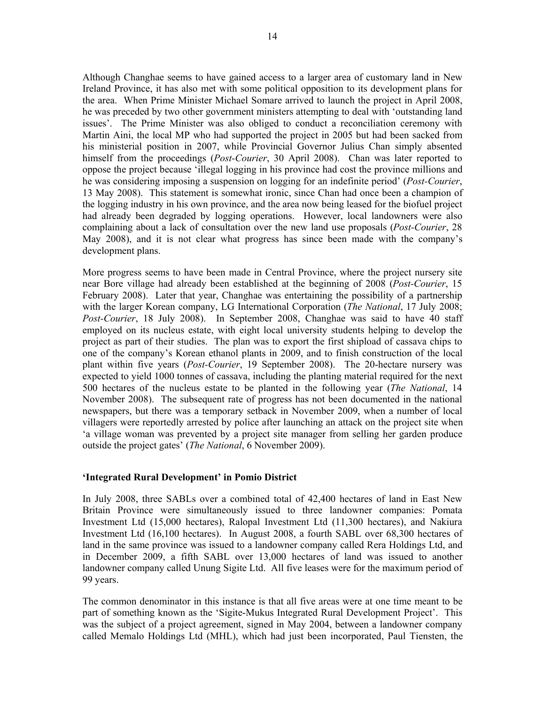Although Changhae seems to have gained access to a larger area of customary land in New Ireland Province, it has also met with some political opposition to its development plans for the area. When Prime Minister Michael Somare arrived to launch the project in April 2008, he was preceded by two other government ministers attempting to deal with 'outstanding land issues'. The Prime Minister was also obliged to conduct a reconciliation ceremony with Martin Aini, the local MP who had supported the project in 2005 but had been sacked from his ministerial position in 2007, while Provincial Governor Julius Chan simply absented himself from the proceedings (*Post-Courier*, 30 April 2008). Chan was later reported to oppose the project because 'illegal logging in his province had cost the province millions and he was considering imposing a suspension on logging for an indefinite period' (*Post-Courier*, 13 May 2008). This statement is somewhat ironic, since Chan had once been a champion of the logging industry in his own province, and the area now being leased for the biofuel project had already been degraded by logging operations. However, local landowners were also complaining about a lack of consultation over the new land use proposals (*Post-Courier*, 28 May 2008), and it is not clear what progress has since been made with the company's development plans.

More progress seems to have been made in Central Province, where the project nursery site near Bore village had already been established at the beginning of 2008 (*Post-Courier*, 15 February 2008). Later that year, Changhae was entertaining the possibility of a partnership with the larger Korean company, LG International Corporation (*The National*, 17 July 2008; *Post-Courier*, 18 July 2008). In September 2008, Changhae was said to have 40 staff employed on its nucleus estate, with eight local university students helping to develop the project as part of their studies. The plan was to export the first shipload of cassava chips to one of the company's Korean ethanol plants in 2009, and to finish construction of the local plant within five years (*Post-Courier*, 19 September 2008). The 20-hectare nursery was expected to yield 1000 tonnes of cassava, including the planting material required for the next 500 hectares of the nucleus estate to be planted in the following year (*The National*, 14 November 2008). The subsequent rate of progress has not been documented in the national newspapers, but there was a temporary setback in November 2009, when a number of local villagers were reportedly arrested by police after launching an attack on the project site when 'a village woman was prevented by a project site manager from selling her garden produce outside the project gates' (*The National*, 6 November 2009).

# **'Integrated Rural Development' in Pomio District**

In July 2008, three SABLs over a combined total of 42,400 hectares of land in East New Britain Province were simultaneously issued to three landowner companies: Pomata Investment Ltd (15,000 hectares), Ralopal Investment Ltd (11,300 hectares), and Nakiura Investment Ltd (16,100 hectares). In August 2008, a fourth SABL over 68,300 hectares of land in the same province was issued to a landowner company called Rera Holdings Ltd, and in December 2009, a fifth SABL over 13,000 hectares of land was issued to another landowner company called Unung Sigite Ltd. All five leases were for the maximum period of 99 years.

The common denominator in this instance is that all five areas were at one time meant to be part of something known as the 'Sigite-Mukus Integrated Rural Development Project'. This was the subject of a project agreement, signed in May 2004, between a landowner company called Memalo Holdings Ltd (MHL), which had just been incorporated, Paul Tiensten, the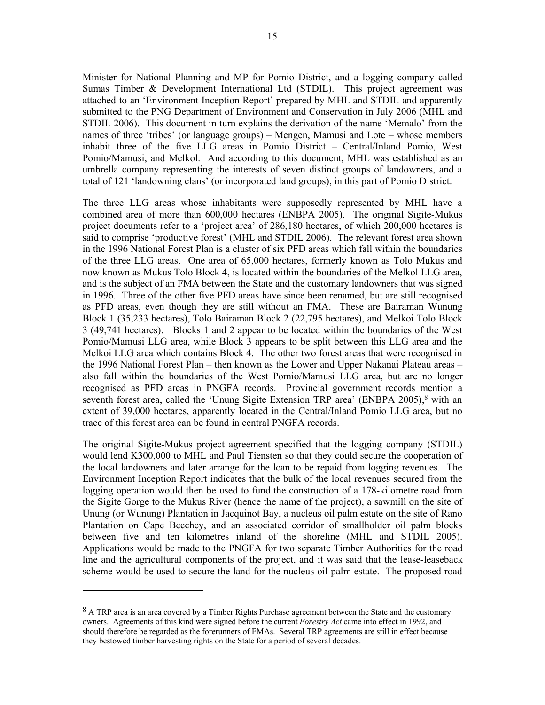Minister for National Planning and MP for Pomio District, and a logging company called Sumas Timber & Development International Ltd (STDIL). This project agreement was attached to an 'Environment Inception Report' prepared by MHL and STDIL and apparently submitted to the PNG Department of Environment and Conservation in July 2006 (MHL and STDIL 2006). This document in turn explains the derivation of the name 'Memalo' from the names of three 'tribes' (or language groups) – Mengen, Mamusi and Lote – whose members inhabit three of the five LLG areas in Pomio District – Central/Inland Pomio, West Pomio/Mamusi, and Melkol. And according to this document, MHL was established as an umbrella company representing the interests of seven distinct groups of landowners, and a total of 121 'landowning clans' (or incorporated land groups), in this part of Pomio District.

The three LLG areas whose inhabitants were supposedly represented by MHL have a combined area of more than 600,000 hectares (ENBPA 2005). The original Sigite-Mukus project documents refer to a 'project area' of 286,180 hectares, of which 200,000 hectares is said to comprise 'productive forest' (MHL and STDIL 2006). The relevant forest area shown in the 1996 National Forest Plan is a cluster of six PFD areas which fall within the boundaries of the three LLG areas. One area of 65,000 hectares, formerly known as Tolo Mukus and now known as Mukus Tolo Block 4, is located within the boundaries of the Melkol LLG area, and is the subject of an FMA between the State and the customary landowners that was signed in 1996. Three of the other five PFD areas have since been renamed, but are still recognised as PFD areas, even though they are still without an FMA. These are Bairaman Wunung Block 1 (35,233 hectares), Tolo Bairaman Block 2 (22,795 hectares), and Melkoi Tolo Block 3 (49,741 hectares). Blocks 1 and 2 appear to be located within the boundaries of the West Pomio/Mamusi LLG area, while Block 3 appears to be split between this LLG area and the Melkoi LLG area which contains Block 4. The other two forest areas that were recognised in the 1996 National Forest Plan – then known as the Lower and Upper Nakanai Plateau areas – also fall within the boundaries of the West Pomio/Mamusi LLG area, but are no longer recognised as PFD areas in PNGFA records. Provincial government records mention a seventh forest area, called the 'Unung Sigite Extension TRP area' (ENBPA 2005),<sup>8</sup> with an extent of 39,000 hectares, apparently located in the Central/Inland Pomio LLG area, but no trace of this forest area can be found in central PNGFA records.

The original Sigite-Mukus project agreement specified that the logging company (STDIL) would lend K300,000 to MHL and Paul Tiensten so that they could secure the cooperation of the local landowners and later arrange for the loan to be repaid from logging revenues. The Environment Inception Report indicates that the bulk of the local revenues secured from the logging operation would then be used to fund the construction of a 178-kilometre road from the Sigite Gorge to the Mukus River (hence the name of the project), a sawmill on the site of Unung (or Wunung) Plantation in Jacquinot Bay, a nucleus oil palm estate on the site of Rano Plantation on Cape Beechey, and an associated corridor of smallholder oil palm blocks between five and ten kilometres inland of the shoreline (MHL and STDIL 2005). Applications would be made to the PNGFA for two separate Timber Authorities for the road line and the agricultural components of the project, and it was said that the lease-leaseback scheme would be used to secure the land for the nucleus oil palm estate. The proposed road

<sup>8</sup> A TRP area is an area covered by a Timber Rights Purchase agreement between the State and the customary owners. Agreements of this kind were signed before the current *Forestry Act* came into effect in 1992, and should therefore be regarded as the forerunners of FMAs. Several TRP agreements are still in effect because they bestowed timber harvesting rights on the State for a period of several decades.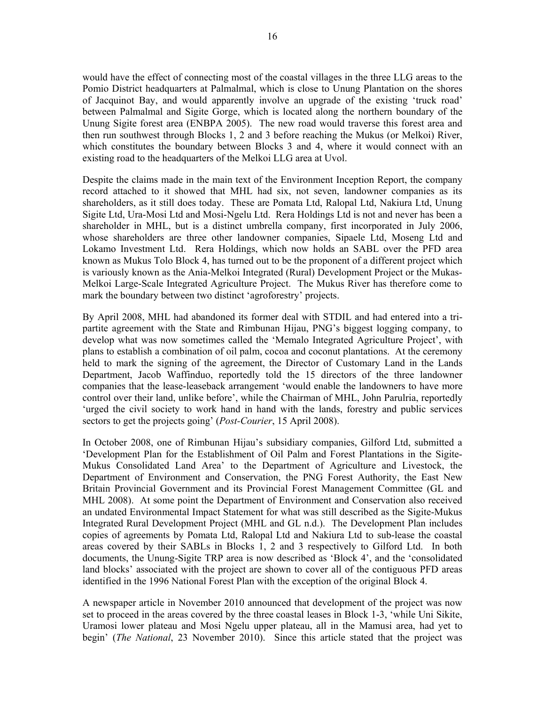would have the effect of connecting most of the coastal villages in the three LLG areas to the Pomio District headquarters at Palmalmal, which is close to Unung Plantation on the shores of Jacquinot Bay, and would apparently involve an upgrade of the existing 'truck road' between Palmalmal and Sigite Gorge, which is located along the northern boundary of the Unung Sigite forest area (ENBPA 2005). The new road would traverse this forest area and then run southwest through Blocks 1, 2 and 3 before reaching the Mukus (or Melkoi) River, which constitutes the boundary between Blocks 3 and 4, where it would connect with an existing road to the headquarters of the Melkoi LLG area at Uvol.

Despite the claims made in the main text of the Environment Inception Report, the company record attached to it showed that MHL had six, not seven, landowner companies as its shareholders, as it still does today. These are Pomata Ltd, Ralopal Ltd, Nakiura Ltd, Unung Sigite Ltd, Ura-Mosi Ltd and Mosi-Ngelu Ltd. Rera Holdings Ltd is not and never has been a shareholder in MHL, but is a distinct umbrella company, first incorporated in July 2006, whose shareholders are three other landowner companies, Sipaele Ltd, Moseng Ltd and Lokamo Investment Ltd. Rera Holdings, which now holds an SABL over the PFD area known as Mukus Tolo Block 4, has turned out to be the proponent of a different project which is variously known as the Ania-Melkoi Integrated (Rural) Development Project or the Mukas-Melkoi Large-Scale Integrated Agriculture Project. The Mukus River has therefore come to mark the boundary between two distinct 'agroforestry' projects.

By April 2008, MHL had abandoned its former deal with STDIL and had entered into a tripartite agreement with the State and Rimbunan Hijau, PNG's biggest logging company, to develop what was now sometimes called the 'Memalo Integrated Agriculture Project', with plans to establish a combination of oil palm, cocoa and coconut plantations. At the ceremony held to mark the signing of the agreement, the Director of Customary Land in the Lands Department, Jacob Waffinduo, reportedly told the 15 directors of the three landowner companies that the lease-leaseback arrangement 'would enable the landowners to have more control over their land, unlike before', while the Chairman of MHL, John Parulria, reportedly 'urged the civil society to work hand in hand with the lands, forestry and public services sectors to get the projects going' (*Post-Courier*, 15 April 2008).

In October 2008, one of Rimbunan Hijau's subsidiary companies, Gilford Ltd, submitted a 'Development Plan for the Establishment of Oil Palm and Forest Plantations in the Sigite-Mukus Consolidated Land Area' to the Department of Agriculture and Livestock, the Department of Environment and Conservation, the PNG Forest Authority, the East New Britain Provincial Government and its Provincial Forest Management Committee (GL and MHL 2008). At some point the Department of Environment and Conservation also received an undated Environmental Impact Statement for what was still described as the Sigite-Mukus Integrated Rural Development Project (MHL and GL n.d.). The Development Plan includes copies of agreements by Pomata Ltd, Ralopal Ltd and Nakiura Ltd to sub-lease the coastal areas covered by their SABLs in Blocks 1, 2 and 3 respectively to Gilford Ltd. In both documents, the Unung-Sigite TRP area is now described as 'Block 4', and the 'consolidated land blocks' associated with the project are shown to cover all of the contiguous PFD areas identified in the 1996 National Forest Plan with the exception of the original Block 4.

A newspaper article in November 2010 announced that development of the project was now set to proceed in the areas covered by the three coastal leases in Block 1-3, 'while Uni Sikite, Uramosi lower plateau and Mosi Ngelu upper plateau, all in the Mamusi area, had yet to begin' (*The National*, 23 November 2010). Since this article stated that the project was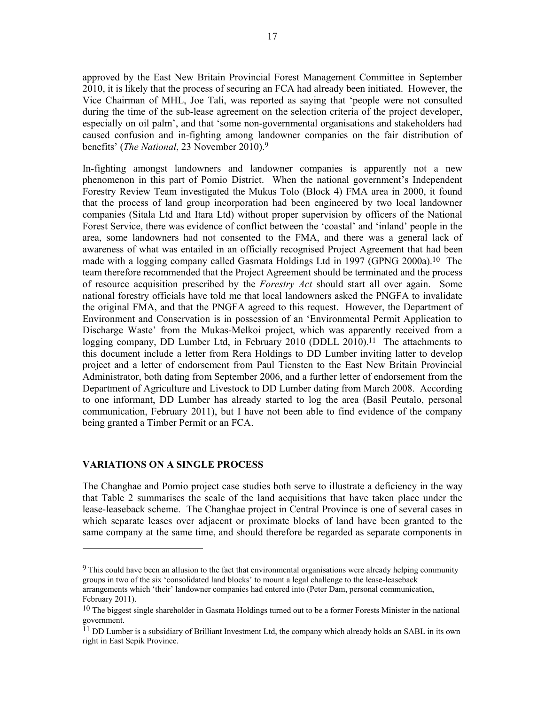approved by the East New Britain Provincial Forest Management Committee in September 2010, it is likely that the process of securing an FCA had already been initiated. However, the Vice Chairman of MHL, Joe Tali, was reported as saying that 'people were not consulted during the time of the sub-lease agreement on the selection criteria of the project developer, especially on oil palm', and that 'some non-governmental organisations and stakeholders had caused confusion and in-fighting among landowner companies on the fair distribution of benefits' (*The National*, 23 November 2010).9

In-fighting amongst landowners and landowner companies is apparently not a new phenomenon in this part of Pomio District. When the national government's Independent Forestry Review Team investigated the Mukus Tolo (Block 4) FMA area in 2000, it found that the process of land group incorporation had been engineered by two local landowner companies (Sitala Ltd and Itara Ltd) without proper supervision by officers of the National Forest Service, there was evidence of conflict between the 'coastal' and 'inland' people in the area, some landowners had not consented to the FMA, and there was a general lack of awareness of what was entailed in an officially recognised Project Agreement that had been made with a logging company called Gasmata Holdings Ltd in 1997 (GPNG 2000a).10 The team therefore recommended that the Project Agreement should be terminated and the process of resource acquisition prescribed by the *Forestry Act* should start all over again. Some national forestry officials have told me that local landowners asked the PNGFA to invalidate the original FMA, and that the PNGFA agreed to this request. However, the Department of Environment and Conservation is in possession of an 'Environmental Permit Application to Discharge Waste' from the Mukas-Melkoi project, which was apparently received from a logging company, DD Lumber Ltd, in February 2010 (DDLL 2010).<sup>11</sup> The attachments to this document include a letter from Rera Holdings to DD Lumber inviting latter to develop project and a letter of endorsement from Paul Tiensten to the East New Britain Provincial Administrator, both dating from September 2006, and a further letter of endorsement from the Department of Agriculture and Livestock to DD Lumber dating from March 2008. According to one informant, DD Lumber has already started to log the area (Basil Peutalo, personal communication, February 2011), but I have not been able to find evidence of the company being granted a Timber Permit or an FCA.

## **VARIATIONS ON A SINGLE PROCESS**

l

The Changhae and Pomio project case studies both serve to illustrate a deficiency in the way that Table 2 summarises the scale of the land acquisitions that have taken place under the lease-leaseback scheme. The Changhae project in Central Province is one of several cases in which separate leases over adjacent or proximate blocks of land have been granted to the same company at the same time, and should therefore be regarded as separate components in

<sup>9</sup> This could have been an allusion to the fact that environmental organisations were already helping community groups in two of the six 'consolidated land blocks' to mount a legal challenge to the lease-leaseback

arrangements which 'their' landowner companies had entered into (Peter Dam, personal communication, February 2011).

<sup>&</sup>lt;sup>10</sup> The biggest single shareholder in Gasmata Holdings turned out to be a former Forests Minister in the national government.

<sup>11</sup> DD Lumber is a subsidiary of Brilliant Investment Ltd, the company which already holds an SABL in its own right in East Sepik Province.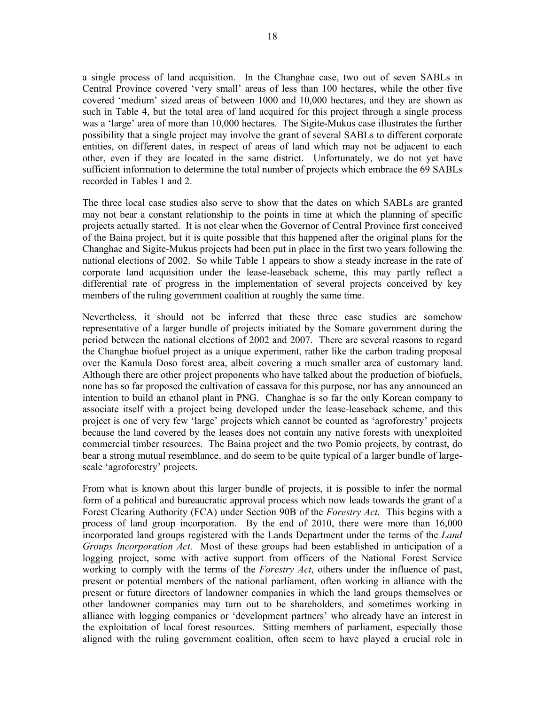a single process of land acquisition. In the Changhae case, two out of seven SABLs in Central Province covered 'very small' areas of less than 100 hectares, while the other five covered 'medium' sized areas of between 1000 and 10,000 hectares, and they are shown as such in Table 4, but the total area of land acquired for this project through a single process was a 'large' area of more than 10,000 hectares. The Sigite-Mukus case illustrates the further possibility that a single project may involve the grant of several SABLs to different corporate entities, on different dates, in respect of areas of land which may not be adjacent to each other, even if they are located in the same district. Unfortunately, we do not yet have sufficient information to determine the total number of projects which embrace the 69 SABLs recorded in Tables 1 and 2.

The three local case studies also serve to show that the dates on which SABLs are granted may not bear a constant relationship to the points in time at which the planning of specific projects actually started. It is not clear when the Governor of Central Province first conceived of the Baina project, but it is quite possible that this happened after the original plans for the Changhae and Sigite-Mukus projects had been put in place in the first two years following the national elections of 2002. So while Table 1 appears to show a steady increase in the rate of corporate land acquisition under the lease-leaseback scheme, this may partly reflect a differential rate of progress in the implementation of several projects conceived by key members of the ruling government coalition at roughly the same time.

Nevertheless, it should not be inferred that these three case studies are somehow representative of a larger bundle of projects initiated by the Somare government during the period between the national elections of 2002 and 2007. There are several reasons to regard the Changhae biofuel project as a unique experiment, rather like the carbon trading proposal over the Kamula Doso forest area, albeit covering a much smaller area of customary land. Although there are other project proponents who have talked about the production of biofuels, none has so far proposed the cultivation of cassava for this purpose, nor has any announced an intention to build an ethanol plant in PNG. Changhae is so far the only Korean company to associate itself with a project being developed under the lease-leaseback scheme, and this project is one of very few 'large' projects which cannot be counted as 'agroforestry' projects because the land covered by the leases does not contain any native forests with unexploited commercial timber resources. The Baina project and the two Pomio projects, by contrast, do bear a strong mutual resemblance, and do seem to be quite typical of a larger bundle of largescale 'agroforestry' projects.

From what is known about this larger bundle of projects, it is possible to infer the normal form of a political and bureaucratic approval process which now leads towards the grant of a Forest Clearing Authority (FCA) under Section 90B of the *Forestry Act*. This begins with a process of land group incorporation. By the end of 2010, there were more than 16,000 incorporated land groups registered with the Lands Department under the terms of the *Land Groups Incorporation Act*. Most of these groups had been established in anticipation of a logging project, some with active support from officers of the National Forest Service working to comply with the terms of the *Forestry Act*, others under the influence of past, present or potential members of the national parliament, often working in alliance with the present or future directors of landowner companies in which the land groups themselves or other landowner companies may turn out to be shareholders, and sometimes working in alliance with logging companies or 'development partners' who already have an interest in the exploitation of local forest resources. Sitting members of parliament, especially those aligned with the ruling government coalition, often seem to have played a crucial role in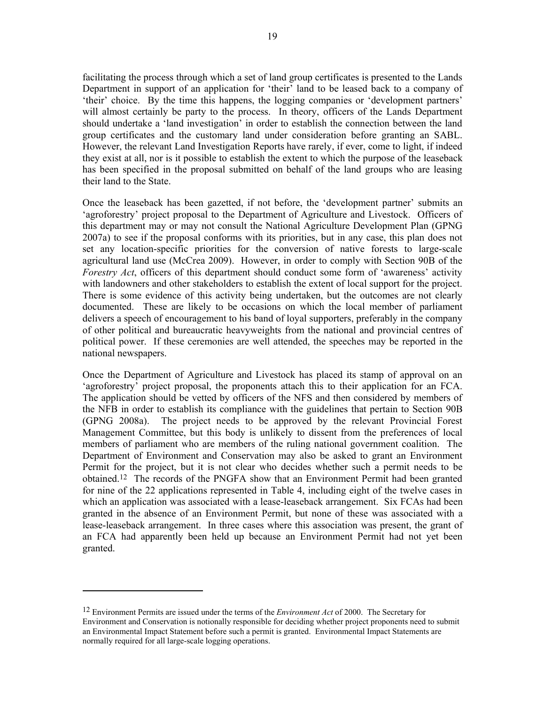facilitating the process through which a set of land group certificates is presented to the Lands Department in support of an application for 'their' land to be leased back to a company of 'their' choice. By the time this happens, the logging companies or 'development partners' will almost certainly be party to the process. In theory, officers of the Lands Department should undertake a 'land investigation' in order to establish the connection between the land group certificates and the customary land under consideration before granting an SABL. However, the relevant Land Investigation Reports have rarely, if ever, come to light, if indeed they exist at all, nor is it possible to establish the extent to which the purpose of the leaseback has been specified in the proposal submitted on behalf of the land groups who are leasing their land to the State.

Once the leaseback has been gazetted, if not before, the 'development partner' submits an 'agroforestry' project proposal to the Department of Agriculture and Livestock. Officers of this department may or may not consult the National Agriculture Development Plan (GPNG 2007a) to see if the proposal conforms with its priorities, but in any case, this plan does not set any location-specific priorities for the conversion of native forests to large-scale agricultural land use (McCrea 2009). However, in order to comply with Section 90B of the *Forestry Act*, officers of this department should conduct some form of 'awareness' activity with landowners and other stakeholders to establish the extent of local support for the project. There is some evidence of this activity being undertaken, but the outcomes are not clearly documented. These are likely to be occasions on which the local member of parliament delivers a speech of encouragement to his band of loyal supporters, preferably in the company of other political and bureaucratic heavyweights from the national and provincial centres of political power. If these ceremonies are well attended, the speeches may be reported in the national newspapers.

Once the Department of Agriculture and Livestock has placed its stamp of approval on an 'agroforestry' project proposal, the proponents attach this to their application for an FCA. The application should be vetted by officers of the NFS and then considered by members of the NFB in order to establish its compliance with the guidelines that pertain to Section 90B (GPNG 2008a). The project needs to be approved by the relevant Provincial Forest Management Committee, but this body is unlikely to dissent from the preferences of local members of parliament who are members of the ruling national government coalition. The Department of Environment and Conservation may also be asked to grant an Environment Permit for the project, but it is not clear who decides whether such a permit needs to be obtained.12 The records of the PNGFA show that an Environment Permit had been granted for nine of the 22 applications represented in Table 4, including eight of the twelve cases in which an application was associated with a lease-leaseback arrangement. Six FCAs had been granted in the absence of an Environment Permit, but none of these was associated with a lease-leaseback arrangement. In three cases where this association was present, the grant of an FCA had apparently been held up because an Environment Permit had not yet been granted.

<sup>12</sup> Environment Permits are issued under the terms of the *Environment Act* of 2000. The Secretary for Environment and Conservation is notionally responsible for deciding whether project proponents need to submit an Environmental Impact Statement before such a permit is granted. Environmental Impact Statements are normally required for all large-scale logging operations.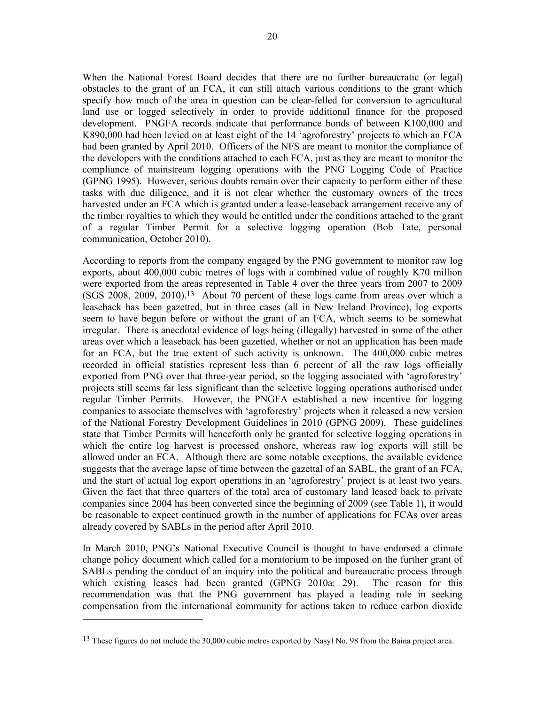When the National Forest Board decides that there are no further bureaucratic (or legal) obstacles to the grant of an FCA, it can still attach various conditions to the grant which specify how much of the area in question can be clear-felled for conversion to agricultural land use or logged selectively in order to provide additional finance for the proposed development. PNGFA records indicate that performance bonds of between K100,000 and K890,000 had been levied on at least eight of the 14 'agroforestry' projects to which an FCA had been granted by April 2010. Officers of the NFS are meant to monitor the compliance of the developers with the conditions attached to each FCA, just as they are meant to monitor the compliance of mainstream logging operations with the PNG Logging Code of Practice (GPNG 1995). However, serious doubts remain over their capacity to perform either of these tasks with due diligence, and it is not clear whether the customary owners of the trees harvested under an FCA which is granted under a lease-leaseback arrangement receive any of the timber royalties to which they would be entitled under the conditions attached to the grant of a regular Timber Permit for a selective logging operation (Bob Tate, personal communication, October 2010).

According to reports from the company engaged by the PNG government to monitor raw log exports, about 400,000 cubic metres of logs with a combined value of roughly K70 million were exported from the areas represented in Table 4 over the three years from 2007 to 2009 (SGS 2008, 2009, 2010).13 About 70 percent of these logs came from areas over which a leaseback has been gazetted, but in three cases (all in New Ireland Province), log exports seem to have begun before or without the grant of an FCA, which seems to be somewhat irregular. There is anecdotal evidence of logs being (illegally) harvested in some of the other areas over which a leaseback has been gazetted, whether or not an application has been made for an FCA, but the true extent of such activity is unknown. The 400,000 cubic metres recorded in official statistics represent less than 6 percent of all the raw logs officially exported from PNG over that three-year period, so the logging associated with 'agroforestry' projects still seems far less significant than the selective logging operations authorised under regular Timber Permits. However, the PNGFA established a new incentive for logging companies to associate themselves with 'agroforestry' projects when it released a new version of the National Forestry Development Guidelines in 2010 (GPNG 2009). These guidelines state that Timber Permits will henceforth only be granted for selective logging operations in which the entire log harvest is processed onshore, whereas raw log exports will still be allowed under an FCA. Although there are some notable exceptions, the available evidence suggests that the average lapse of time between the gazettal of an SABL, the grant of an FCA, and the start of actual log export operations in an 'agroforestry' project is at least two years. Given the fact that three quarters of the total area of customary land leased back to private companies since 2004 has been converted since the beginning of 2009 (see Table 1), it would be reasonable to expect continued growth in the number of applications for FCAs over areas already covered by SABLs in the period after April 2010.

In March 2010, PNG's National Executive Council is thought to have endorsed a climate change policy document which called for a moratorium to be imposed on the further grant of SABLs pending the conduct of an inquiry into the political and bureaucratic process through which existing leases had been granted (GPNG 2010a: 29). The reason for this recommendation was that the PNG government has played a leading role in seeking compensation from the international community for actions taken to reduce carbon dioxide

 $\overline{a}$ 

<sup>&</sup>lt;sup>13</sup> These figures do not include the 30,000 cubic metres exported by Nasyl No. 98 from the Baina project area.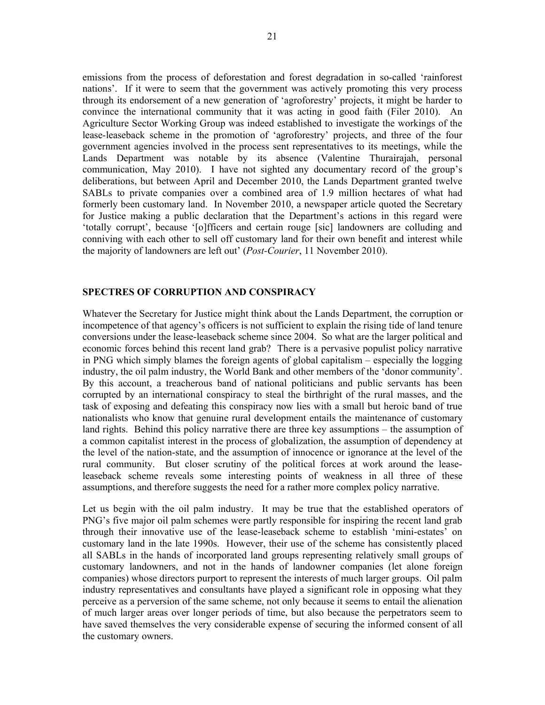emissions from the process of deforestation and forest degradation in so-called 'rainforest nations'. If it were to seem that the government was actively promoting this very process through its endorsement of a new generation of 'agroforestry' projects, it might be harder to convince the international community that it was acting in good faith (Filer 2010). An Agriculture Sector Working Group was indeed established to investigate the workings of the lease-leaseback scheme in the promotion of 'agroforestry' projects, and three of the four government agencies involved in the process sent representatives to its meetings, while the Lands Department was notable by its absence (Valentine Thurairajah, personal communication, May 2010). I have not sighted any documentary record of the group's deliberations, but between April and December 2010, the Lands Department granted twelve SABLs to private companies over a combined area of 1.9 million hectares of what had formerly been customary land. In November 2010, a newspaper article quoted the Secretary for Justice making a public declaration that the Department's actions in this regard were 'totally corrupt', because '[o]fficers and certain rouge [sic] landowners are colluding and conniving with each other to sell off customary land for their own benefit and interest while the majority of landowners are left out' (*Post-Courier*, 11 November 2010).

## **SPECTRES OF CORRUPTION AND CONSPIRACY**

Whatever the Secretary for Justice might think about the Lands Department, the corruption or incompetence of that agency's officers is not sufficient to explain the rising tide of land tenure conversions under the lease-leaseback scheme since 2004. So what are the larger political and economic forces behind this recent land grab? There is a pervasive populist policy narrative in PNG which simply blames the foreign agents of global capitalism – especially the logging industry, the oil palm industry, the World Bank and other members of the 'donor community'. By this account, a treacherous band of national politicians and public servants has been corrupted by an international conspiracy to steal the birthright of the rural masses, and the task of exposing and defeating this conspiracy now lies with a small but heroic band of true nationalists who know that genuine rural development entails the maintenance of customary land rights. Behind this policy narrative there are three key assumptions – the assumption of a common capitalist interest in the process of globalization, the assumption of dependency at the level of the nation-state, and the assumption of innocence or ignorance at the level of the rural community. But closer scrutiny of the political forces at work around the leaseleaseback scheme reveals some interesting points of weakness in all three of these assumptions, and therefore suggests the need for a rather more complex policy narrative.

Let us begin with the oil palm industry. It may be true that the established operators of PNG's five major oil palm schemes were partly responsible for inspiring the recent land grab through their innovative use of the lease-leaseback scheme to establish 'mini-estates' on customary land in the late 1990s. However, their use of the scheme has consistently placed all SABLs in the hands of incorporated land groups representing relatively small groups of customary landowners, and not in the hands of landowner companies (let alone foreign companies) whose directors purport to represent the interests of much larger groups. Oil palm industry representatives and consultants have played a significant role in opposing what they perceive as a perversion of the same scheme, not only because it seems to entail the alienation of much larger areas over longer periods of time, but also because the perpetrators seem to have saved themselves the very considerable expense of securing the informed consent of all the customary owners.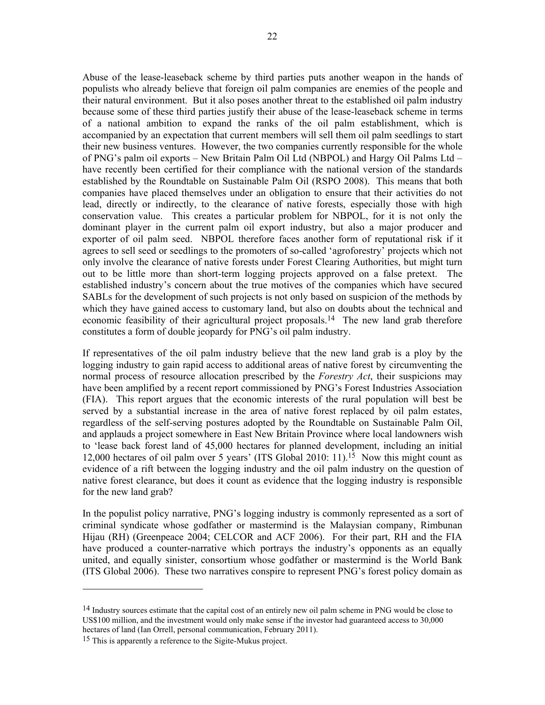Abuse of the lease-leaseback scheme by third parties puts another weapon in the hands of populists who already believe that foreign oil palm companies are enemies of the people and their natural environment. But it also poses another threat to the established oil palm industry because some of these third parties justify their abuse of the lease-leaseback scheme in terms of a national ambition to expand the ranks of the oil palm establishment, which is accompanied by an expectation that current members will sell them oil palm seedlings to start their new business ventures. However, the two companies currently responsible for the whole of PNG's palm oil exports – New Britain Palm Oil Ltd (NBPOL) and Hargy Oil Palms Ltd – have recently been certified for their compliance with the national version of the standards established by the Roundtable on Sustainable Palm Oil (RSPO 2008). This means that both companies have placed themselves under an obligation to ensure that their activities do not lead, directly or indirectly, to the clearance of native forests, especially those with high conservation value. This creates a particular problem for NBPOL, for it is not only the dominant player in the current palm oil export industry, but also a major producer and exporter of oil palm seed. NBPOL therefore faces another form of reputational risk if it agrees to sell seed or seedlings to the promoters of so-called 'agroforestry' projects which not only involve the clearance of native forests under Forest Clearing Authorities, but might turn out to be little more than short-term logging projects approved on a false pretext. The established industry's concern about the true motives of the companies which have secured SABLs for the development of such projects is not only based on suspicion of the methods by which they have gained access to customary land, but also on doubts about the technical and economic feasibility of their agricultural project proposals.14 The new land grab therefore constitutes a form of double jeopardy for PNG's oil palm industry.

If representatives of the oil palm industry believe that the new land grab is a ploy by the logging industry to gain rapid access to additional areas of native forest by circumventing the normal process of resource allocation prescribed by the *Forestry Act*, their suspicions may have been amplified by a recent report commissioned by PNG's Forest Industries Association (FIA). This report argues that the economic interests of the rural population will best be served by a substantial increase in the area of native forest replaced by oil palm estates, regardless of the self-serving postures adopted by the Roundtable on Sustainable Palm Oil, and applauds a project somewhere in East New Britain Province where local landowners wish to 'lease back forest land of 45,000 hectares for planned development, including an initial 12,000 hectares of oil palm over 5 years' (ITS Global 2010: 11).15 Now this might count as evidence of a rift between the logging industry and the oil palm industry on the question of native forest clearance, but does it count as evidence that the logging industry is responsible for the new land grab?

In the populist policy narrative, PNG's logging industry is commonly represented as a sort of criminal syndicate whose godfather or mastermind is the Malaysian company, Rimbunan Hijau (RH) (Greenpeace 2004; CELCOR and ACF 2006). For their part, RH and the FIA have produced a counter-narrative which portrays the industry's opponents as an equally united, and equally sinister, consortium whose godfather or mastermind is the World Bank (ITS Global 2006). These two narratives conspire to represent PNG's forest policy domain as

<sup>&</sup>lt;sup>14</sup> Industry sources estimate that the capital cost of an entirely new oil palm scheme in PNG would be close to US\$100 million, and the investment would only make sense if the investor had guaranteed access to 30,000 hectares of land (Ian Orrell, personal communication, February 2011).

<sup>&</sup>lt;sup>15</sup> This is apparently a reference to the Sigite-Mukus project.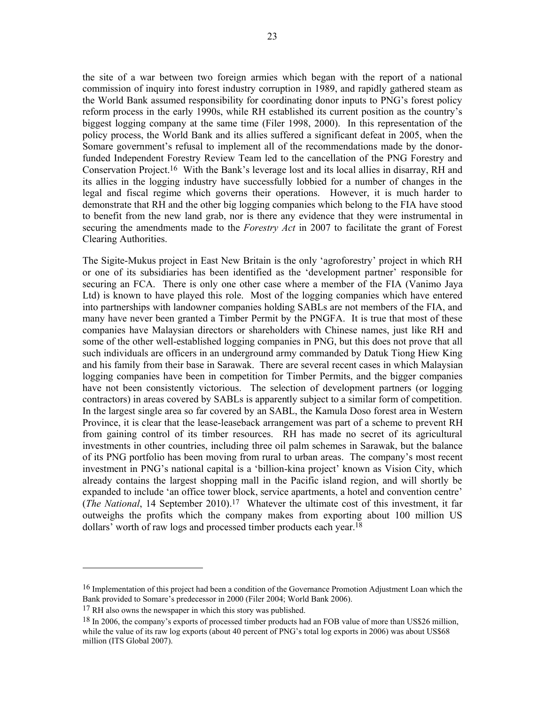the site of a war between two foreign armies which began with the report of a national commission of inquiry into forest industry corruption in 1989, and rapidly gathered steam as the World Bank assumed responsibility for coordinating donor inputs to PNG's forest policy reform process in the early 1990s, while RH established its current position as the country's biggest logging company at the same time (Filer 1998, 2000). In this representation of the policy process, the World Bank and its allies suffered a significant defeat in 2005, when the Somare government's refusal to implement all of the recommendations made by the donorfunded Independent Forestry Review Team led to the cancellation of the PNG Forestry and Conservation Project.16 With the Bank's leverage lost and its local allies in disarray, RH and its allies in the logging industry have successfully lobbied for a number of changes in the legal and fiscal regime which governs their operations. However, it is much harder to demonstrate that RH and the other big logging companies which belong to the FIA have stood to benefit from the new land grab, nor is there any evidence that they were instrumental in securing the amendments made to the *Forestry Act* in 2007 to facilitate the grant of Forest Clearing Authorities.

The Sigite-Mukus project in East New Britain is the only 'agroforestry' project in which RH or one of its subsidiaries has been identified as the 'development partner' responsible for securing an FCA. There is only one other case where a member of the FIA (Vanimo Jaya Ltd) is known to have played this role. Most of the logging companies which have entered into partnerships with landowner companies holding SABLs are not members of the FIA, and many have never been granted a Timber Permit by the PNGFA. It is true that most of these companies have Malaysian directors or shareholders with Chinese names, just like RH and some of the other well-established logging companies in PNG, but this does not prove that all such individuals are officers in an underground army commanded by Datuk Tiong Hiew King and his family from their base in Sarawak. There are several recent cases in which Malaysian logging companies have been in competition for Timber Permits, and the bigger companies have not been consistently victorious. The selection of development partners (or logging contractors) in areas covered by SABLs is apparently subject to a similar form of competition. In the largest single area so far covered by an SABL, the Kamula Doso forest area in Western Province, it is clear that the lease-leaseback arrangement was part of a scheme to prevent RH from gaining control of its timber resources. RH has made no secret of its agricultural investments in other countries, including three oil palm schemes in Sarawak, but the balance of its PNG portfolio has been moving from rural to urban areas. The company's most recent investment in PNG's national capital is a 'billion-kina project' known as Vision City, which already contains the largest shopping mall in the Pacific island region, and will shortly be expanded to include 'an office tower block, service apartments, a hotel and convention centre' (*The National*, 14 September 2010).17 Whatever the ultimate cost of this investment, it far outweighs the profits which the company makes from exporting about 100 million US dollars' worth of raw logs and processed timber products each year.18

<sup>16</sup> Implementation of this project had been a condition of the Governance Promotion Adjustment Loan which the Bank provided to Somare's predecessor in 2000 (Filer 2004; World Bank 2006).

<sup>&</sup>lt;sup>17</sup> RH also owns the newspaper in which this story was published.

<sup>18</sup> In 2006, the company's exports of processed timber products had an FOB value of more than US\$26 million, while the value of its raw log exports (about 40 percent of PNG's total log exports in 2006) was about US\$68 million (ITS Global 2007).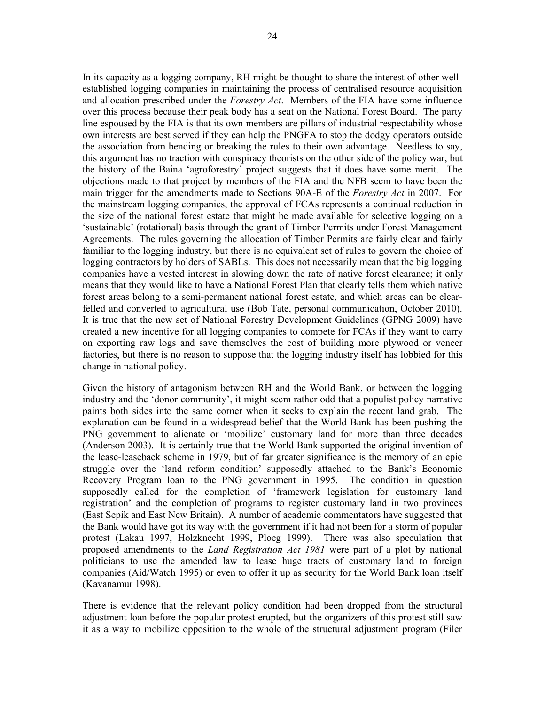In its capacity as a logging company, RH might be thought to share the interest of other wellestablished logging companies in maintaining the process of centralised resource acquisition and allocation prescribed under the *Forestry Act*. Members of the FIA have some influence over this process because their peak body has a seat on the National Forest Board. The party line espoused by the FIA is that its own members are pillars of industrial respectability whose own interests are best served if they can help the PNGFA to stop the dodgy operators outside the association from bending or breaking the rules to their own advantage. Needless to say, this argument has no traction with conspiracy theorists on the other side of the policy war, but the history of the Baina 'agroforestry' project suggests that it does have some merit. The objections made to that project by members of the FIA and the NFB seem to have been the main trigger for the amendments made to Sections 90A-E of the *Forestry Act* in 2007. For the mainstream logging companies, the approval of FCAs represents a continual reduction in the size of the national forest estate that might be made available for selective logging on a 'sustainable' (rotational) basis through the grant of Timber Permits under Forest Management Agreements. The rules governing the allocation of Timber Permits are fairly clear and fairly familiar to the logging industry, but there is no equivalent set of rules to govern the choice of logging contractors by holders of SABLs. This does not necessarily mean that the big logging companies have a vested interest in slowing down the rate of native forest clearance; it only means that they would like to have a National Forest Plan that clearly tells them which native forest areas belong to a semi-permanent national forest estate, and which areas can be clearfelled and converted to agricultural use (Bob Tate, personal communication, October 2010). It is true that the new set of National Forestry Development Guidelines (GPNG 2009) have created a new incentive for all logging companies to compete for FCAs if they want to carry on exporting raw logs and save themselves the cost of building more plywood or veneer factories, but there is no reason to suppose that the logging industry itself has lobbied for this change in national policy.

Given the history of antagonism between RH and the World Bank, or between the logging industry and the 'donor community', it might seem rather odd that a populist policy narrative paints both sides into the same corner when it seeks to explain the recent land grab. The explanation can be found in a widespread belief that the World Bank has been pushing the PNG government to alienate or 'mobilize' customary land for more than three decades (Anderson 2003). It is certainly true that the World Bank supported the original invention of the lease-leaseback scheme in 1979, but of far greater significance is the memory of an epic struggle over the 'land reform condition' supposedly attached to the Bank's Economic Recovery Program loan to the PNG government in 1995. The condition in question supposedly called for the completion of 'framework legislation for customary land registration' and the completion of programs to register customary land in two provinces (East Sepik and East New Britain). A number of academic commentators have suggested that the Bank would have got its way with the government if it had not been for a storm of popular protest (Lakau 1997, Holzknecht 1999, Ploeg 1999). There was also speculation that proposed amendments to the *Land Registration Act 1981* were part of a plot by national politicians to use the amended law to lease huge tracts of customary land to foreign companies (Aid/Watch 1995) or even to offer it up as security for the World Bank loan itself (Kavanamur 1998).

There is evidence that the relevant policy condition had been dropped from the structural adjustment loan before the popular protest erupted, but the organizers of this protest still saw it as a way to mobilize opposition to the whole of the structural adjustment program (Filer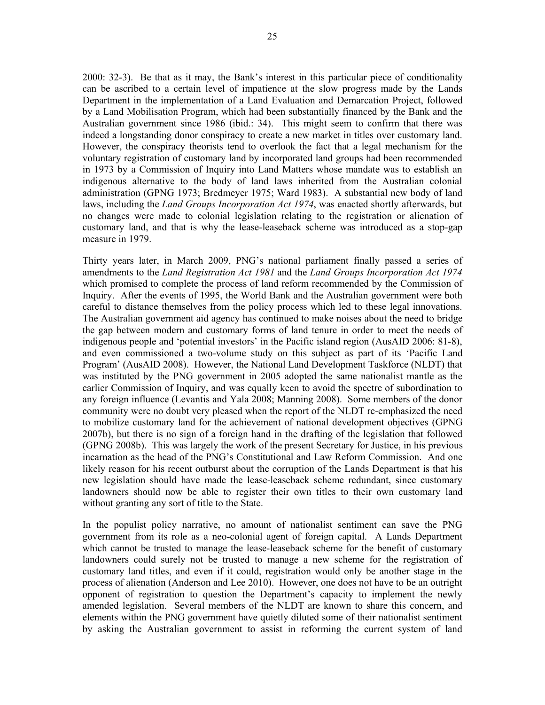2000: 32-3). Be that as it may, the Bank's interest in this particular piece of conditionality can be ascribed to a certain level of impatience at the slow progress made by the Lands Department in the implementation of a Land Evaluation and Demarcation Project, followed by a Land Mobilisation Program, which had been substantially financed by the Bank and the Australian government since 1986 (ibid.: 34). This might seem to confirm that there was indeed a longstanding donor conspiracy to create a new market in titles over customary land. However, the conspiracy theorists tend to overlook the fact that a legal mechanism for the voluntary registration of customary land by incorporated land groups had been recommended in 1973 by a Commission of Inquiry into Land Matters whose mandate was to establish an indigenous alternative to the body of land laws inherited from the Australian colonial administration (GPNG 1973; Bredmeyer 1975; Ward 1983). A substantial new body of land laws, including the *Land Groups Incorporation Act 1974*, was enacted shortly afterwards, but no changes were made to colonial legislation relating to the registration or alienation of customary land, and that is why the lease-leaseback scheme was introduced as a stop-gap measure in 1979.

Thirty years later, in March 2009, PNG's national parliament finally passed a series of amendments to the *Land Registration Act 1981* and the *Land Groups Incorporation Act 1974*  which promised to complete the process of land reform recommended by the Commission of Inquiry. After the events of 1995, the World Bank and the Australian government were both careful to distance themselves from the policy process which led to these legal innovations. The Australian government aid agency has continued to make noises about the need to bridge the gap between modern and customary forms of land tenure in order to meet the needs of indigenous people and 'potential investors' in the Pacific island region (AusAID 2006: 81-8), and even commissioned a two-volume study on this subject as part of its 'Pacific Land Program' (AusAID 2008). However, the National Land Development Taskforce (NLDT) that was instituted by the PNG government in 2005 adopted the same nationalist mantle as the earlier Commission of Inquiry, and was equally keen to avoid the spectre of subordination to any foreign influence (Levantis and Yala 2008; Manning 2008). Some members of the donor community were no doubt very pleased when the report of the NLDT re-emphasized the need to mobilize customary land for the achievement of national development objectives (GPNG 2007b), but there is no sign of a foreign hand in the drafting of the legislation that followed (GPNG 2008b). This was largely the work of the present Secretary for Justice, in his previous incarnation as the head of the PNG's Constitutional and Law Reform Commission. And one likely reason for his recent outburst about the corruption of the Lands Department is that his new legislation should have made the lease-leaseback scheme redundant, since customary landowners should now be able to register their own titles to their own customary land without granting any sort of title to the State.

In the populist policy narrative, no amount of nationalist sentiment can save the PNG government from its role as a neo-colonial agent of foreign capital. A Lands Department which cannot be trusted to manage the lease-leaseback scheme for the benefit of customary landowners could surely not be trusted to manage a new scheme for the registration of customary land titles, and even if it could, registration would only be another stage in the process of alienation (Anderson and Lee 2010). However, one does not have to be an outright opponent of registration to question the Department's capacity to implement the newly amended legislation. Several members of the NLDT are known to share this concern, and elements within the PNG government have quietly diluted some of their nationalist sentiment by asking the Australian government to assist in reforming the current system of land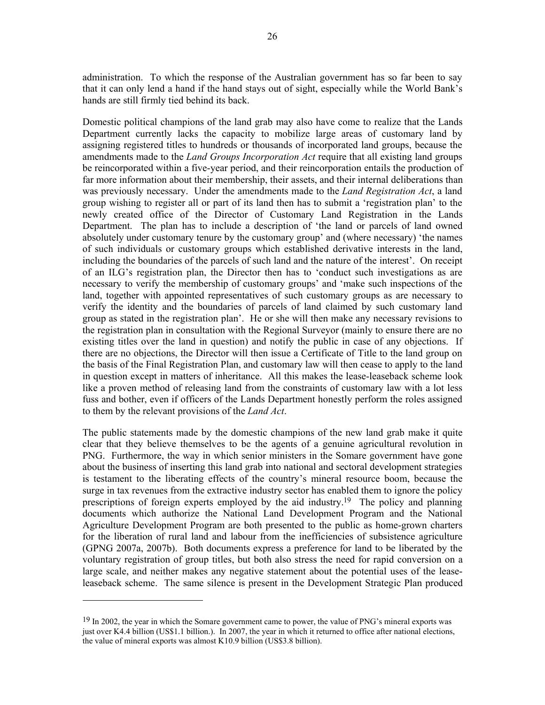administration. To which the response of the Australian government has so far been to say that it can only lend a hand if the hand stays out of sight, especially while the World Bank's hands are still firmly tied behind its back.

Domestic political champions of the land grab may also have come to realize that the Lands Department currently lacks the capacity to mobilize large areas of customary land by assigning registered titles to hundreds or thousands of incorporated land groups, because the amendments made to the *Land Groups Incorporation Act* require that all existing land groups be reincorporated within a five-year period, and their reincorporation entails the production of far more information about their membership, their assets, and their internal deliberations than was previously necessary. Under the amendments made to the *Land Registration Act*, a land group wishing to register all or part of its land then has to submit a 'registration plan' to the newly created office of the Director of Customary Land Registration in the Lands Department. The plan has to include a description of 'the land or parcels of land owned absolutely under customary tenure by the customary group' and (where necessary) 'the names of such individuals or customary groups which established derivative interests in the land, including the boundaries of the parcels of such land and the nature of the interest'. On receipt of an ILG's registration plan, the Director then has to 'conduct such investigations as are necessary to verify the membership of customary groups' and 'make such inspections of the land, together with appointed representatives of such customary groups as are necessary to verify the identity and the boundaries of parcels of land claimed by such customary land group as stated in the registration plan'. He or she will then make any necessary revisions to the registration plan in consultation with the Regional Surveyor (mainly to ensure there are no existing titles over the land in question) and notify the public in case of any objections. If there are no objections, the Director will then issue a Certificate of Title to the land group on the basis of the Final Registration Plan, and customary law will then cease to apply to the land in question except in matters of inheritance. All this makes the lease-leaseback scheme look like a proven method of releasing land from the constraints of customary law with a lot less fuss and bother, even if officers of the Lands Department honestly perform the roles assigned to them by the relevant provisions of the *Land Act*.

The public statements made by the domestic champions of the new land grab make it quite clear that they believe themselves to be the agents of a genuine agricultural revolution in PNG. Furthermore, the way in which senior ministers in the Somare government have gone about the business of inserting this land grab into national and sectoral development strategies is testament to the liberating effects of the country's mineral resource boom, because the surge in tax revenues from the extractive industry sector has enabled them to ignore the policy prescriptions of foreign experts employed by the aid industry.19 The policy and planning documents which authorize the National Land Development Program and the National Agriculture Development Program are both presented to the public as home-grown charters for the liberation of rural land and labour from the inefficiencies of subsistence agriculture (GPNG 2007a, 2007b). Both documents express a preference for land to be liberated by the voluntary registration of group titles, but both also stress the need for rapid conversion on a large scale, and neither makes any negative statement about the potential uses of the leaseleaseback scheme. The same silence is present in the Development Strategic Plan produced

<sup>&</sup>lt;sup>19</sup> In 2002, the year in which the Somare government came to power, the value of PNG's mineral exports was just over K4.4 billion (US\$1.1 billion.). In 2007, the year in which it returned to office after national elections, the value of mineral exports was almost K10.9 billion (US\$3.8 billion).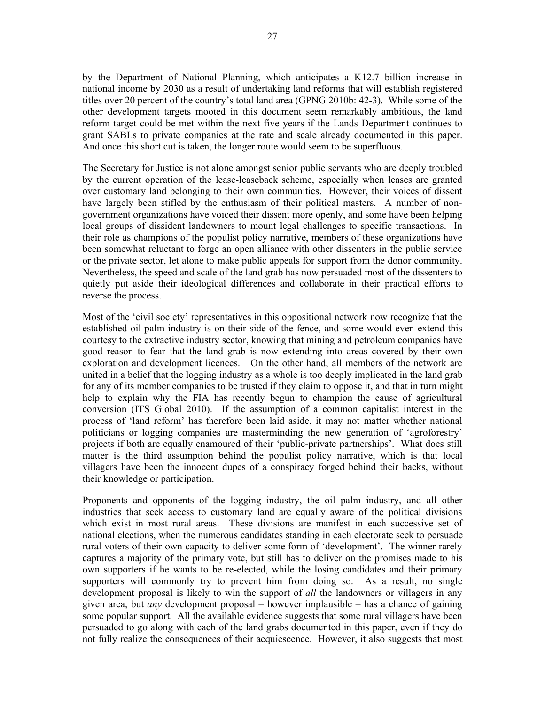by the Department of National Planning, which anticipates a K12.7 billion increase in national income by 2030 as a result of undertaking land reforms that will establish registered titles over 20 percent of the country's total land area (GPNG 2010b: 42-3). While some of the other development targets mooted in this document seem remarkably ambitious, the land reform target could be met within the next five years if the Lands Department continues to grant SABLs to private companies at the rate and scale already documented in this paper. And once this short cut is taken, the longer route would seem to be superfluous.

The Secretary for Justice is not alone amongst senior public servants who are deeply troubled by the current operation of the lease-leaseback scheme, especially when leases are granted over customary land belonging to their own communities. However, their voices of dissent have largely been stifled by the enthusiasm of their political masters. A number of nongovernment organizations have voiced their dissent more openly, and some have been helping local groups of dissident landowners to mount legal challenges to specific transactions. In their role as champions of the populist policy narrative, members of these organizations have been somewhat reluctant to forge an open alliance with other dissenters in the public service or the private sector, let alone to make public appeals for support from the donor community. Nevertheless, the speed and scale of the land grab has now persuaded most of the dissenters to quietly put aside their ideological differences and collaborate in their practical efforts to reverse the process.

Most of the 'civil society' representatives in this oppositional network now recognize that the established oil palm industry is on their side of the fence, and some would even extend this courtesy to the extractive industry sector, knowing that mining and petroleum companies have good reason to fear that the land grab is now extending into areas covered by their own exploration and development licences. On the other hand, all members of the network are united in a belief that the logging industry as a whole is too deeply implicated in the land grab for any of its member companies to be trusted if they claim to oppose it, and that in turn might help to explain why the FIA has recently begun to champion the cause of agricultural conversion (ITS Global 2010). If the assumption of a common capitalist interest in the process of 'land reform' has therefore been laid aside, it may not matter whether national politicians or logging companies are masterminding the new generation of 'agroforestry' projects if both are equally enamoured of their 'public-private partnerships'. What does still matter is the third assumption behind the populist policy narrative, which is that local villagers have been the innocent dupes of a conspiracy forged behind their backs, without their knowledge or participation.

Proponents and opponents of the logging industry, the oil palm industry, and all other industries that seek access to customary land are equally aware of the political divisions which exist in most rural areas. These divisions are manifest in each successive set of national elections, when the numerous candidates standing in each electorate seek to persuade rural voters of their own capacity to deliver some form of 'development'. The winner rarely captures a majority of the primary vote, but still has to deliver on the promises made to his own supporters if he wants to be re-elected, while the losing candidates and their primary supporters will commonly try to prevent him from doing so. As a result, no single development proposal is likely to win the support of *all* the landowners or villagers in any given area, but *any* development proposal – however implausible – has a chance of gaining some popular support. All the available evidence suggests that some rural villagers have been persuaded to go along with each of the land grabs documented in this paper, even if they do not fully realize the consequences of their acquiescence. However, it also suggests that most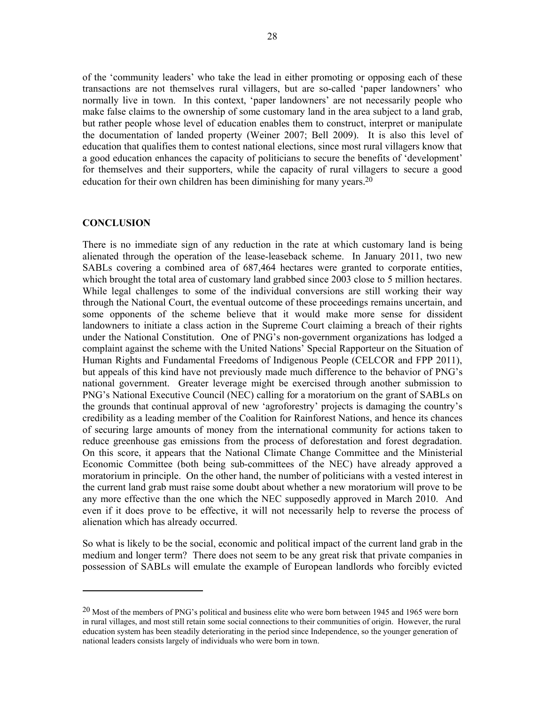of the 'community leaders' who take the lead in either promoting or opposing each of these transactions are not themselves rural villagers, but are so-called 'paper landowners' who normally live in town. In this context, 'paper landowners' are not necessarily people who make false claims to the ownership of some customary land in the area subject to a land grab, but rather people whose level of education enables them to construct, interpret or manipulate the documentation of landed property (Weiner 2007; Bell 2009). It is also this level of education that qualifies them to contest national elections, since most rural villagers know that a good education enhances the capacity of politicians to secure the benefits of 'development' for themselves and their supporters, while the capacity of rural villagers to secure a good education for their own children has been diminishing for many years.20

## **CONCLUSION**

l

There is no immediate sign of any reduction in the rate at which customary land is being alienated through the operation of the lease-leaseback scheme. In January 2011, two new SABLs covering a combined area of 687,464 hectares were granted to corporate entities, which brought the total area of customary land grabbed since 2003 close to 5 million hectares. While legal challenges to some of the individual conversions are still working their way through the National Court, the eventual outcome of these proceedings remains uncertain, and some opponents of the scheme believe that it would make more sense for dissident landowners to initiate a class action in the Supreme Court claiming a breach of their rights under the National Constitution. One of PNG's non-government organizations has lodged a complaint against the scheme with the United Nations' Special Rapporteur on the Situation of Human Rights and Fundamental Freedoms of Indigenous People (CELCOR and FPP 2011), but appeals of this kind have not previously made much difference to the behavior of PNG's national government. Greater leverage might be exercised through another submission to PNG's National Executive Council (NEC) calling for a moratorium on the grant of SABLs on the grounds that continual approval of new 'agroforestry' projects is damaging the country's credibility as a leading member of the Coalition for Rainforest Nations, and hence its chances of securing large amounts of money from the international community for actions taken to reduce greenhouse gas emissions from the process of deforestation and forest degradation. On this score, it appears that the National Climate Change Committee and the Ministerial Economic Committee (both being sub-committees of the NEC) have already approved a moratorium in principle. On the other hand, the number of politicians with a vested interest in the current land grab must raise some doubt about whether a new moratorium will prove to be any more effective than the one which the NEC supposedly approved in March 2010. And even if it does prove to be effective, it will not necessarily help to reverse the process of alienation which has already occurred.

So what is likely to be the social, economic and political impact of the current land grab in the medium and longer term? There does not seem to be any great risk that private companies in possession of SABLs will emulate the example of European landlords who forcibly evicted

<sup>20</sup> Most of the members of PNG's political and business elite who were born between 1945 and 1965 were born in rural villages, and most still retain some social connections to their communities of origin. However, the rural education system has been steadily deteriorating in the period since Independence, so the younger generation of national leaders consists largely of individuals who were born in town.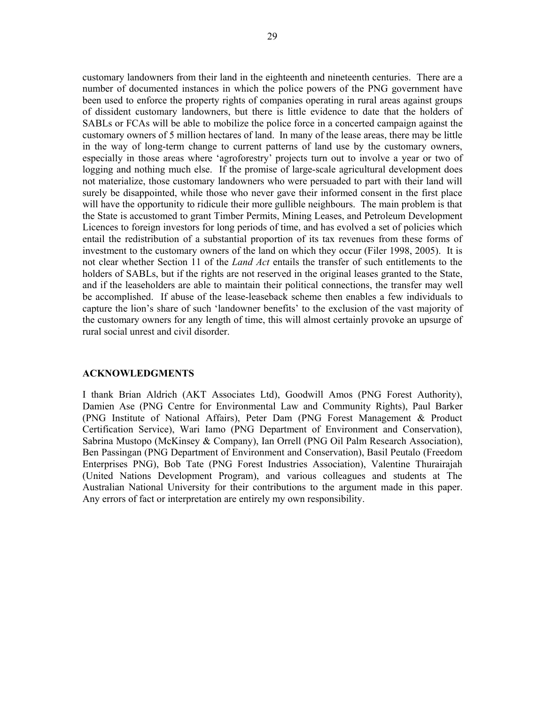customary landowners from their land in the eighteenth and nineteenth centuries. There are a number of documented instances in which the police powers of the PNG government have been used to enforce the property rights of companies operating in rural areas against groups of dissident customary landowners, but there is little evidence to date that the holders of SABLs or FCAs will be able to mobilize the police force in a concerted campaign against the customary owners of 5 million hectares of land. In many of the lease areas, there may be little in the way of long-term change to current patterns of land use by the customary owners, especially in those areas where 'agroforestry' projects turn out to involve a year or two of logging and nothing much else. If the promise of large-scale agricultural development does not materialize, those customary landowners who were persuaded to part with their land will surely be disappointed, while those who never gave their informed consent in the first place will have the opportunity to ridicule their more gullible neighbours. The main problem is that the State is accustomed to grant Timber Permits, Mining Leases, and Petroleum Development Licences to foreign investors for long periods of time, and has evolved a set of policies which entail the redistribution of a substantial proportion of its tax revenues from these forms of investment to the customary owners of the land on which they occur (Filer 1998, 2005). It is not clear whether Section 11 of the *Land Act* entails the transfer of such entitlements to the holders of SABLs, but if the rights are not reserved in the original leases granted to the State, and if the leaseholders are able to maintain their political connections, the transfer may well be accomplished. If abuse of the lease-leaseback scheme then enables a few individuals to capture the lion's share of such 'landowner benefits' to the exclusion of the vast majority of the customary owners for any length of time, this will almost certainly provoke an upsurge of rural social unrest and civil disorder.

#### **ACKNOWLEDGMENTS**

I thank Brian Aldrich (AKT Associates Ltd), Goodwill Amos (PNG Forest Authority), Damien Ase (PNG Centre for Environmental Law and Community Rights), Paul Barker (PNG Institute of National Affairs), Peter Dam (PNG Forest Management & Product Certification Service), Wari Iamo (PNG Department of Environment and Conservation), Sabrina Mustopo (McKinsey & Company), Ian Orrell (PNG Oil Palm Research Association), Ben Passingan (PNG Department of Environment and Conservation), Basil Peutalo (Freedom Enterprises PNG), Bob Tate (PNG Forest Industries Association), Valentine Thurairajah (United Nations Development Program), and various colleagues and students at The Australian National University for their contributions to the argument made in this paper. Any errors of fact or interpretation are entirely my own responsibility.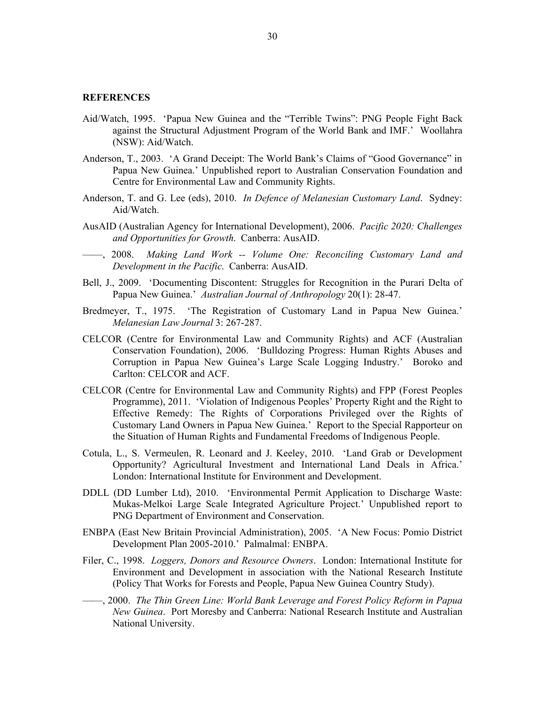# **REFERENCES**

- Aid/Watch, 1995. 'Papua New Guinea and the "Terrible Twins": PNG People Fight Back against the Structural Adjustment Program of the World Bank and IMF.' Woollahra (NSW): Aid/Watch.
- Anderson, T., 2003. 'A Grand Deceipt: The World Bank's Claims of "Good Governance" in Papua New Guinea.' Unpublished report to Australian Conservation Foundation and Centre for Environmental Law and Community Rights.
- Anderson, T. and G. Lee (eds), 2010. *In Defence of Melanesian Customary Land*. Sydney: Aid/Watch.
- AusAID (Australian Agency for International Development), 2006. *Pacific 2020: Challenges and Opportunities for Growth*. Canberra: AusAID.
- ——, 2008. *Making Land Work -- Volume One: Reconciling Customary Land and Development in the Pacific*. Canberra: AusAID.
- Bell, J., 2009. 'Documenting Discontent: Struggles for Recognition in the Purari Delta of Papua New Guinea.' *Australian Journal of Anthropology* 20(1): 28-47.
- Bredmeyer, T., 1975. 'The Registration of Customary Land in Papua New Guinea.' *Melanesian Law Journal* 3: 267-287.
- CELCOR (Centre for Environmental Law and Community Rights) and ACF (Australian Conservation Foundation), 2006. 'Bulldozing Progress: Human Rights Abuses and Corruption in Papua New Guinea's Large Scale Logging Industry.' Boroko and Carlton: CELCOR and ACF.
- CELCOR (Centre for Environmental Law and Community Rights) and FPP (Forest Peoples Programme), 2011. 'Violation of Indigenous Peoples' Property Right and the Right to Effective Remedy: The Rights of Corporations Privileged over the Rights of Customary Land Owners in Papua New Guinea.' Report to the Special Rapporteur on the Situation of Human Rights and Fundamental Freedoms of Indigenous People.
- Cotula, L., S. Vermeulen, R. Leonard and J. Keeley, 2010. 'Land Grab or Development Opportunity? Agricultural Investment and International Land Deals in Africa.' London: International Institute for Environment and Development.
- DDLL (DD Lumber Ltd), 2010. 'Environmental Permit Application to Discharge Waste: Mukas-Melkoi Large Scale Integrated Agriculture Project.' Unpublished report to PNG Department of Environment and Conservation.
- ENBPA (East New Britain Provincial Administration), 2005. 'A New Focus: Pomio District Development Plan 2005-2010.' Palmalmal: ENBPA.
- Filer, C., 1998. *Loggers, Donors and Resource Owners*. London: International Institute for Environment and Development in association with the National Research Institute (Policy That Works for Forests and People, Papua New Guinea Country Study).
- ——, 2000. *The Thin Green Line: World Bank Leverage and Forest Policy Reform in Papua New Guinea*. Port Moresby and Canberra: National Research Institute and Australian National University.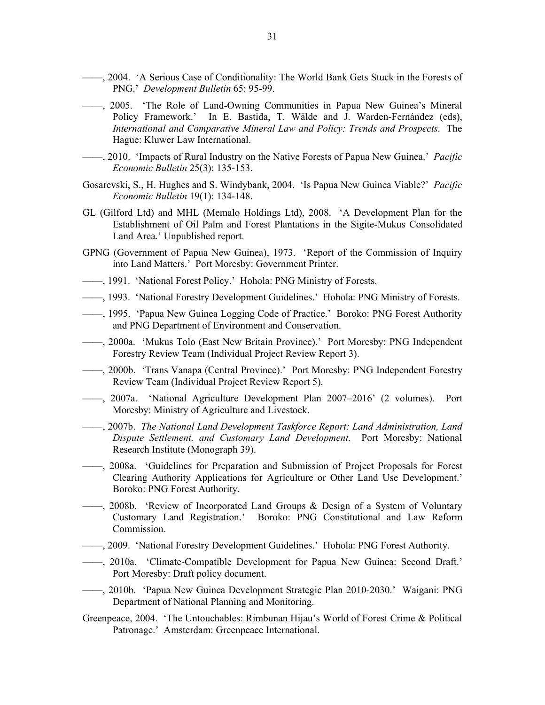- ——, 2004. 'A Serious Case of Conditionality: The World Bank Gets Stuck in the Forests of PNG.' *Development Bulletin* 65: 95-99.
- ——, 2005. 'The Role of Land-Owning Communities in Papua New Guinea's Mineral Policy Framework.' In E. Bastida, T. Wälde and J. Warden-Fernández (eds), *International and Comparative Mineral Law and Policy: Trends and Prospects*. The Hague: Kluwer Law International.
- ——, 2010. 'Impacts of Rural Industry on the Native Forests of Papua New Guinea.' *Pacific Economic Bulletin* 25(3): 135-153.
- Gosarevski, S., H. Hughes and S. Windybank, 2004. 'Is Papua New Guinea Viable?' *Pacific Economic Bulletin* 19(1): 134-148.
- GL (Gilford Ltd) and MHL (Memalo Holdings Ltd), 2008. 'A Development Plan for the Establishment of Oil Palm and Forest Plantations in the Sigite-Mukus Consolidated Land Area.' Unpublished report.
- GPNG (Government of Papua New Guinea), 1973. 'Report of the Commission of Inquiry into Land Matters.' Port Moresby: Government Printer.
- ——, 1991. 'National Forest Policy.' Hohola: PNG Ministry of Forests.
- ——, 1993. 'National Forestry Development Guidelines.' Hohola: PNG Ministry of Forests.
- ——, 1995. 'Papua New Guinea Logging Code of Practice.' Boroko: PNG Forest Authority and PNG Department of Environment and Conservation.
- ——, 2000a. 'Mukus Tolo (East New Britain Province).' Port Moresby: PNG Independent Forestry Review Team (Individual Project Review Report 3).
- ——, 2000b. 'Trans Vanapa (Central Province).' Port Moresby: PNG Independent Forestry Review Team (Individual Project Review Report 5).
- ——, 2007a. 'National Agriculture Development Plan 2007–2016' (2 volumes). Port Moresby: Ministry of Agriculture and Livestock.
- ——, 2007b. *The National Land Development Taskforce Report: Land Administration, Land Dispute Settlement, and Customary Land Development*. Port Moresby: National Research Institute (Monograph 39).
- ——, 2008a. 'Guidelines for Preparation and Submission of Project Proposals for Forest Clearing Authority Applications for Agriculture or Other Land Use Development.' Boroko: PNG Forest Authority.
- ——, 2008b. 'Review of Incorporated Land Groups & Design of a System of Voluntary Customary Land Registration.' Boroko: PNG Constitutional and Law Reform Commission.
- ——, 2009. 'National Forestry Development Guidelines.' Hohola: PNG Forest Authority.
- ——, 2010a. 'Climate-Compatible Development for Papua New Guinea: Second Draft.' Port Moresby: Draft policy document.
- ——, 2010b. 'Papua New Guinea Development Strategic Plan 2010-2030.' Waigani: PNG Department of National Planning and Monitoring.
- Greenpeace, 2004. 'The Untouchables: Rimbunan Hijau's World of Forest Crime & Political Patronage.' Amsterdam: Greenpeace International.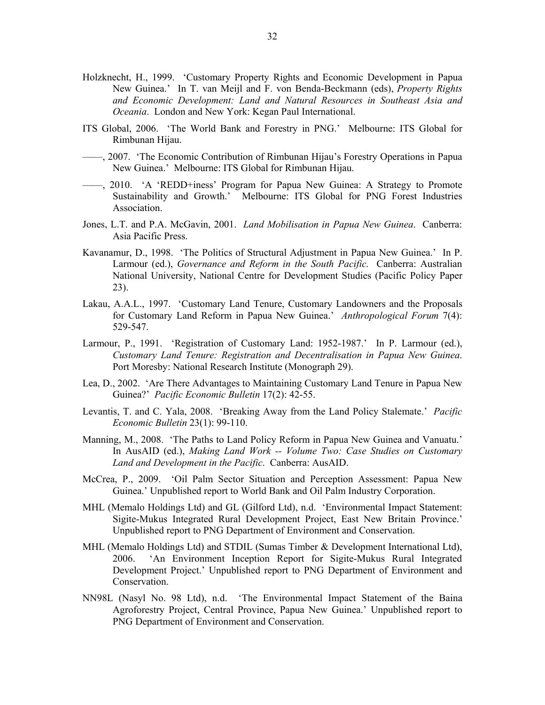- Holzknecht, H., 1999. 'Customary Property Rights and Economic Development in Papua New Guinea.' In T. van Meijl and F. von Benda-Beckmann (eds), *Property Rights and Economic Development: Land and Natural Resources in Southeast Asia and Oceania*. London and New York: Kegan Paul International.
- ITS Global, 2006. 'The World Bank and Forestry in PNG.' Melbourne: ITS Global for Rimbunan Hijau.
- ——, 2007. 'The Economic Contribution of Rimbunan Hijau's Forestry Operations in Papua New Guinea.' Melbourne: ITS Global for Rimbunan Hijau.
- ——, 2010. 'A 'REDD+iness' Program for Papua New Guinea: A Strategy to Promote Sustainability and Growth.' Melbourne: ITS Global for PNG Forest Industries Association.
- Jones, L.T. and P.A. McGavin, 2001. *Land Mobilisation in Papua New Guinea*. Canberra: Asia Pacific Press.
- Kavanamur, D., 1998. 'The Politics of Structural Adjustment in Papua New Guinea.' In P. Larmour (ed.), *Governance and Reform in the South Pacific*. Canberra: Australian National University, National Centre for Development Studies (Pacific Policy Paper 23).
- Lakau, A.A.L., 1997. 'Customary Land Tenure, Customary Landowners and the Proposals for Customary Land Reform in Papua New Guinea.' *Anthropological Forum* 7(4): 529-547.
- Larmour, P., 1991. 'Registration of Customary Land: 1952-1987.' In P. Larmour (ed.), *Customary Land Tenure: Registration and Decentralisation in Papua New Guinea*. Port Moresby: National Research Institute (Monograph 29).
- Lea, D., 2002. 'Are There Advantages to Maintaining Customary Land Tenure in Papua New Guinea?' *Pacific Economic Bulletin* 17(2): 42-55.
- Levantis, T. and C. Yala, 2008. 'Breaking Away from the Land Policy Stalemate.' *Pacific Economic Bulletin* 23(1): 99-110.
- Manning, M., 2008. 'The Paths to Land Policy Reform in Papua New Guinea and Vanuatu.' In AusAID (ed.), *Making Land Work -- Volume Two: Case Studies on Customary Land and Development in the Pacific*. Canberra: AusAID.
- McCrea, P., 2009. 'Oil Palm Sector Situation and Perception Assessment: Papua New Guinea.' Unpublished report to World Bank and Oil Palm Industry Corporation.
- MHL (Memalo Holdings Ltd) and GL (Gilford Ltd), n.d. 'Environmental Impact Statement: Sigite-Mukus Integrated Rural Development Project, East New Britain Province.' Unpublished report to PNG Department of Environment and Conservation.
- MHL (Memalo Holdings Ltd) and STDIL (Sumas Timber & Development International Ltd), 2006. 'An Environment Inception Report for Sigite-Mukus Rural Integrated Development Project.' Unpublished report to PNG Department of Environment and Conservation.
- NN98L (Nasyl No. 98 Ltd), n.d. 'The Environmental Impact Statement of the Baina Agroforestry Project, Central Province, Papua New Guinea.' Unpublished report to PNG Department of Environment and Conservation.